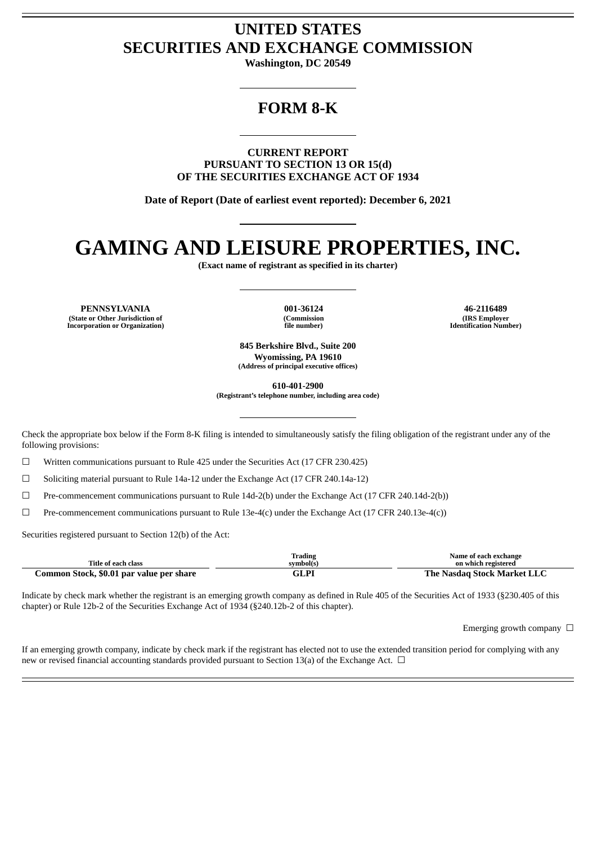## **UNITED STATES SECURITIES AND EXCHANGE COMMISSION**

**Washington, DC 20549**

## **FORM 8-K**

**CURRENT REPORT PURSUANT TO SECTION 13 OR 15(d) OF THE SECURITIES EXCHANGE ACT OF 1934**

**Date of Report (Date of earliest event reported): December 6, 2021**

## **GAMING AND LEISURE PROPERTIES, INC.**

**(Exact name of registrant as specified in its charter)**

**PENNSYLVANIA 001-36124 46-2116489 (State or Other Jurisdiction of Incorporation or Organization)**

**(Commission file number)**

**(IRS Employer Identification Number)**

**845 Berkshire Blvd., Suite 200 Wyomissing, PA 19610 (Address of principal executive offices)**

**610-401-2900**

**(Registrant's telephone number, including area code)**

Check the appropriate box below if the Form 8-K filing is intended to simultaneously satisfy the filing obligation of the registrant under any of the following provisions:

 $\Box$  Written communications pursuant to Rule 425 under the Securities Act (17 CFR 230.425)

 $\Box$  Soliciting material pursuant to Rule 14a-12 under the Exchange Act (17 CFR 240.14a-12)

☐ Pre-commencement communications pursuant to Rule 14d-2(b) under the Exchange Act (17 CFR 240.14d-2(b))

 $\Box$  Pre-commencement communications pursuant to Rule 13e-4(c) under the Exchange Act (17 CFR 240.13e-4(c))

Securities registered pursuant to Section 12(b) of the Act:

| Title of each class                      | Trading<br>symbol(s) | Name of each exchange<br>on which registered |
|------------------------------------------|----------------------|----------------------------------------------|
| Common Stock, \$0.01 par value per share | GLPI                 | The Nasdag Stock Market LLC                  |

Indicate by check mark whether the registrant is an emerging growth company as defined in Rule 405 of the Securities Act of 1933 (§230.405 of this chapter) or Rule 12b-2 of the Securities Exchange Act of 1934 (§240.12b-2 of this chapter).

Emerging growth company  $\Box$ 

If an emerging growth company, indicate by check mark if the registrant has elected not to use the extended transition period for complying with any new or revised financial accounting standards provided pursuant to Section 13(a) of the Exchange Act.  $\Box$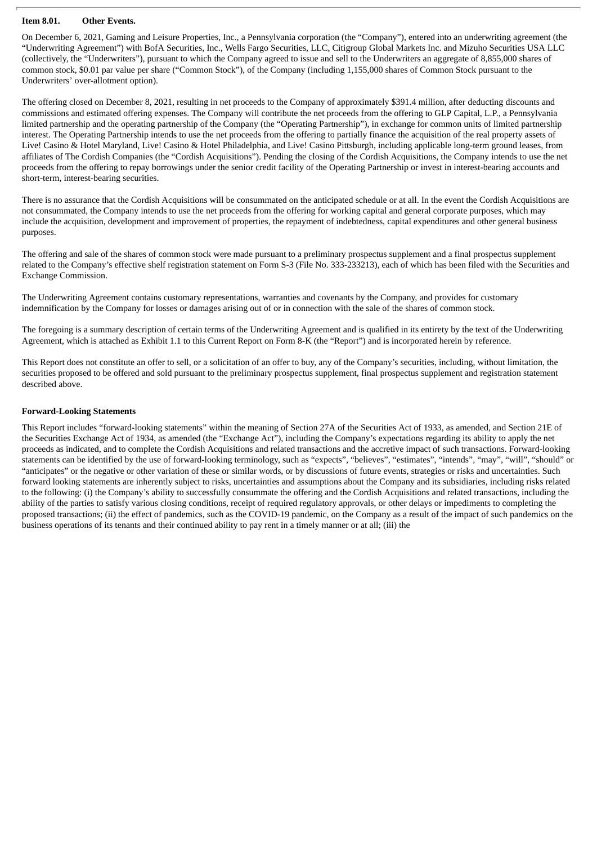#### **Item 8.01. Other Events.**

On December 6, 2021, Gaming and Leisure Properties, Inc., a Pennsylvania corporation (the "Company"), entered into an underwriting agreement (the "Underwriting Agreement") with BofA Securities, Inc., Wells Fargo Securities, LLC, Citigroup Global Markets Inc. and Mizuho Securities USA LLC (collectively, the "Underwriters"), pursuant to which the Company agreed to issue and sell to the Underwriters an aggregate of 8,855,000 shares of common stock, \$0.01 par value per share ("Common Stock"), of the Company (including 1,155,000 shares of Common Stock pursuant to the Underwriters' over-allotment option).

The offering closed on December 8, 2021, resulting in net proceeds to the Company of approximately \$391.4 million, after deducting discounts and commissions and estimated offering expenses. The Company will contribute the net proceeds from the offering to GLP Capital, L.P., a Pennsylvania limited partnership and the operating partnership of the Company (the "Operating Partnership"), in exchange for common units of limited partnership interest. The Operating Partnership intends to use the net proceeds from the offering to partially finance the acquisition of the real property assets of Live! Casino & Hotel Maryland, Live! Casino & Hotel Philadelphia, and Live! Casino Pittsburgh, including applicable long-term ground leases, from affiliates of The Cordish Companies (the "Cordish Acquisitions"). Pending the closing of the Cordish Acquisitions, the Company intends to use the net proceeds from the offering to repay borrowings under the senior credit facility of the Operating Partnership or invest in interest-bearing accounts and short-term, interest-bearing securities.

There is no assurance that the Cordish Acquisitions will be consummated on the anticipated schedule or at all. In the event the Cordish Acquisitions are not consummated, the Company intends to use the net proceeds from the offering for working capital and general corporate purposes, which may include the acquisition, development and improvement of properties, the repayment of indebtedness, capital expenditures and other general business purposes.

The offering and sale of the shares of common stock were made pursuant to a preliminary prospectus supplement and a final prospectus supplement related to the Company's effective shelf registration statement on Form S-3 (File No. 333-233213), each of which has been filed with the Securities and Exchange Commission.

The Underwriting Agreement contains customary representations, warranties and covenants by the Company, and provides for customary indemnification by the Company for losses or damages arising out of or in connection with the sale of the shares of common stock.

The foregoing is a summary description of certain terms of the Underwriting Agreement and is qualified in its entirety by the text of the Underwriting Agreement, which is attached as Exhibit 1.1 to this Current Report on Form 8-K (the "Report") and is incorporated herein by reference.

This Report does not constitute an offer to sell, or a solicitation of an offer to buy, any of the Company's securities, including, without limitation, the securities proposed to be offered and sold pursuant to the preliminary prospectus supplement, final prospectus supplement and registration statement described above.

#### **Forward-Looking Statements**

This Report includes "forward-looking statements" within the meaning of Section 27A of the Securities Act of 1933, as amended, and Section 21E of the Securities Exchange Act of 1934, as amended (the "Exchange Act"), including the Company's expectations regarding its ability to apply the net proceeds as indicated, and to complete the Cordish Acquisitions and related transactions and the accretive impact of such transactions. Forward-looking statements can be identified by the use of forward-looking terminology, such as "expects", "believes", "estimates", "intends", "may", "will", "should" or "anticipates" or the negative or other variation of these or similar words, or by discussions of future events, strategies or risks and uncertainties. Such forward looking statements are inherently subject to risks, uncertainties and assumptions about the Company and its subsidiaries, including risks related to the following: (i) the Company's ability to successfully consummate the offering and the Cordish Acquisitions and related transactions, including the ability of the parties to satisfy various closing conditions, receipt of required regulatory approvals, or other delays or impediments to completing the proposed transactions; (ii) the effect of pandemics, such as the COVID-19 pandemic, on the Company as a result of the impact of such pandemics on the business operations of its tenants and their continued ability to pay rent in a timely manner or at all; (iii) the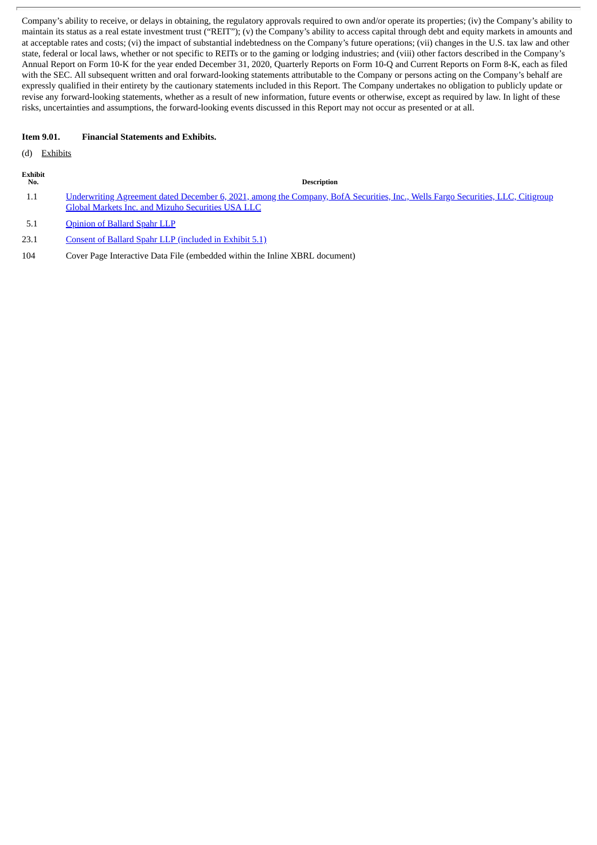Company's ability to receive, or delays in obtaining, the regulatory approvals required to own and/or operate its properties; (iv) the Company's ability to maintain its status as a real estate investment trust ("REIT"); (v) the Company's ability to access capital through debt and equity markets in amounts and at acceptable rates and costs; (vi) the impact of substantial indebtedness on the Company's future operations; (vii) changes in the U.S. tax law and other state, federal or local laws, whether or not specific to REITs or to the gaming or lodging industries; and (viii) other factors described in the Company's Annual Report on Form 10-K for the year ended December 31, 2020, Quarterly Reports on Form 10-Q and Current Reports on Form 8-K, each as filed with the SEC. All subsequent written and oral forward-looking statements attributable to the Company or persons acting on the Company's behalf are expressly qualified in their entirety by the cautionary statements included in this Report. The Company undertakes no obligation to publicly update or revise any forward-looking statements, whether as a result of new information, future events or otherwise, except as required by law. In light of these risks, uncertainties and assumptions, the forward-looking events discussed in this Report may not occur as presented or at all.

#### **Item 9.01. Financial Statements and Exhibits.**

(d) Exhibits

| rnı<br>г |
|----------|
|          |

**No. Description**

- 1.1 [Underwriting](#page-4-0) Agreement dated December 6, 2021, among the Company, BofA Securities, Inc., Wells Fargo Securities, LLC, Citigroup Global Markets Inc. and Mizuho Securities USA LLC
- 5.1 [Opinion](#page-40-0) of Ballard Spahr LLP
- 23.1 Consent of Ballard Spahr LLP [\(included](#page-40-0) in Exhibit 5.1)
- 104 Cover Page Interactive Data File (embedded within the Inline XBRL document)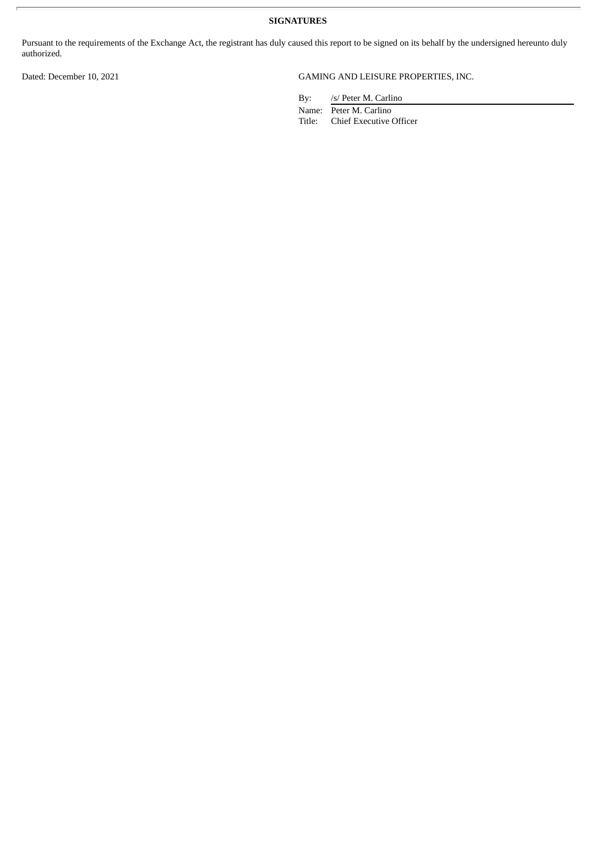**SIGNATURES**

Pursuant to the requirements of the Exchange Act, the registrant has duly caused this report to be signed on its behalf by the undersigned hereunto duly authorized.

### Dated: December 10, 2021 GAMING AND LEISURE PROPERTIES, INC.

By: /s/ Peter M. Carlino

Name: Peter M. Carlino Title: Chief Executive Officer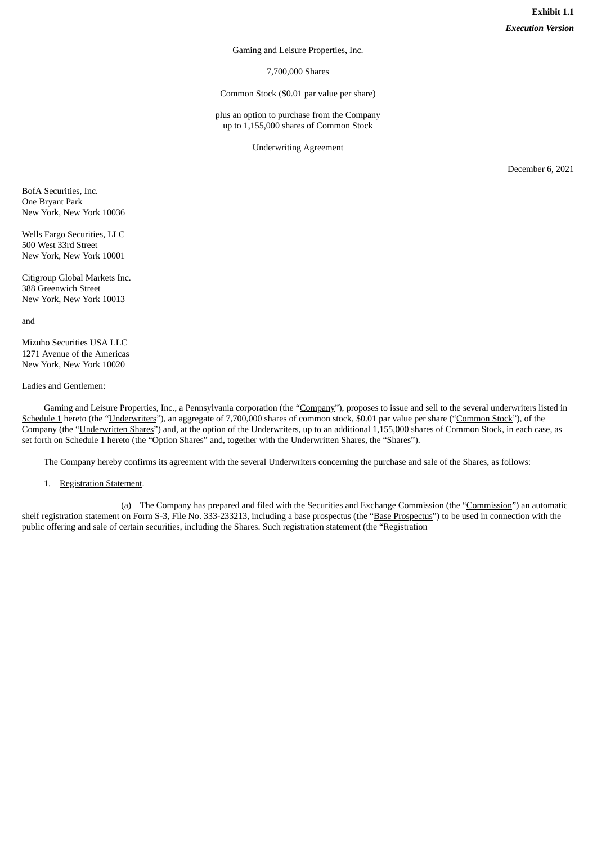Gaming and Leisure Properties, Inc.

7,700,000 Shares

Common Stock (\$0.01 par value per share)

plus an option to purchase from the Company up to 1,155,000 shares of Common Stock

Underwriting Agreement

December 6, 2021

<span id="page-4-0"></span>BofA Securities, Inc. One Bryant Park New York, New York 10036

Wells Fargo Securities, LLC 500 West 33rd Street New York, New York 10001

Citigroup Global Markets Inc. 388 Greenwich Street New York, New York 10013

and

Mizuho Securities USA LLC 1271 Avenue of the Americas New York, New York 10020

#### Ladies and Gentlemen:

Gaming and Leisure Properties, Inc., a Pennsylvania corporation (the "Company"), proposes to issue and sell to the several underwriters listed in Schedule 1 hereto (the "Underwriters"), an aggregate of 7,700,000 shares of common stock, \$0.01 par value per share ("Common Stock"), of the Company (the "Underwritten Shares") and, at the option of the Underwriters, up to an additional 1,155,000 shares of Common Stock, in each case, as set forth on Schedule 1 hereto (the "Option Shares" and, together with the Underwritten Shares, the "Shares").

The Company hereby confirms its agreement with the several Underwriters concerning the purchase and sale of the Shares, as follows:

1. Registration Statement.

(a) The Company has prepared and filed with the Securities and Exchange Commission (the "Commission") an automatic shelf registration statement on Form S-3, File No. 333-233213, including a base prospectus (the "Base Prospectus") to be used in connection with the public offering and sale of certain securities, including the Shares. Such registration statement (the "Registration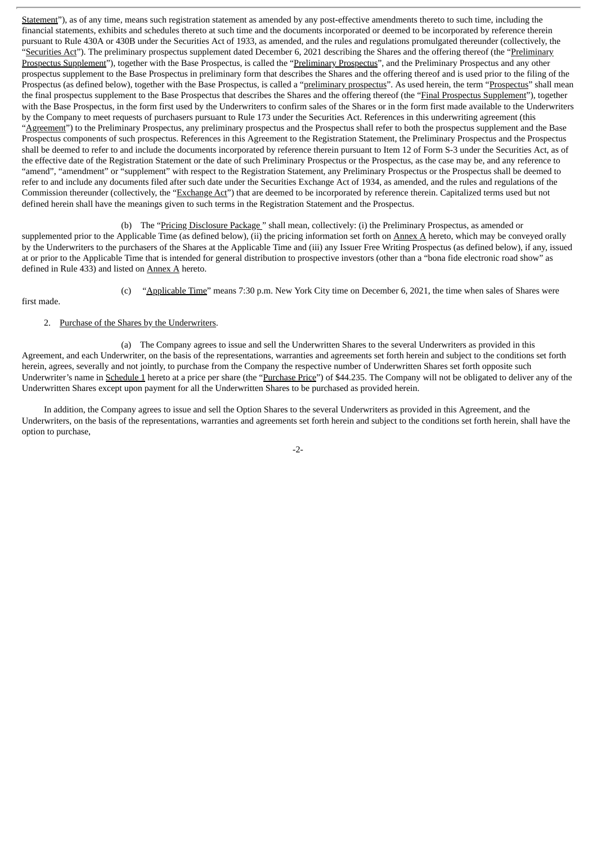Statement"), as of any time, means such registration statement as amended by any post-effective amendments thereto to such time, including the financial statements, exhibits and schedules thereto at such time and the documents incorporated or deemed to be incorporated by reference therein pursuant to Rule 430A or 430B under the Securities Act of 1933, as amended, and the rules and regulations promulgated thereunder (collectively, the "Securities Act"). The preliminary prospectus supplement dated December 6, 2021 describing the Shares and the offering thereof (the "Preliminary Prospectus Supplement"), together with the Base Prospectus, is called the "Preliminary Prospectus", and the Preliminary Prospectus and any other prospectus supplement to the Base Prospectus in preliminary form that describes the Shares and the offering thereof and is used prior to the filing of the Prospectus (as defined below), together with the Base Prospectus, is called a "preliminary prospectus". As used herein, the term "Prospectus" shall mean the final prospectus supplement to the Base Prospectus that describes the Shares and the offering thereof (the "Final Prospectus Supplement"), together with the Base Prospectus, in the form first used by the Underwriters to confirm sales of the Shares or in the form first made available to the Underwriters by the Company to meet requests of purchasers pursuant to Rule 173 under the Securities Act. References in this underwriting agreement (this "Agreement") to the Preliminary Prospectus, any preliminary prospectus and the Prospectus shall refer to both the prospectus supplement and the Base Prospectus components of such prospectus. References in this Agreement to the Registration Statement, the Preliminary Prospectus and the Prospectus shall be deemed to refer to and include the documents incorporated by reference therein pursuant to Item 12 of Form S-3 under the Securities Act, as of the effective date of the Registration Statement or the date of such Preliminary Prospectus or the Prospectus, as the case may be, and any reference to "amend", "amendment" or "supplement" with respect to the Registration Statement, any Preliminary Prospectus or the Prospectus shall be deemed to refer to and include any documents filed after such date under the Securities Exchange Act of 1934, as amended, and the rules and regulations of the Commission thereunder (collectively, the "Exchange Act") that are deemed to be incorporated by reference therein. Capitalized terms used but not defined herein shall have the meanings given to such terms in the Registration Statement and the Prospectus.

(b) The "Pricing Disclosure Package " shall mean, collectively: (i) the Preliminary Prospectus, as amended or supplemented prior to the Applicable Time (as defined below), (ii) the pricing information set forth on Annex A hereto, which may be conveyed orally by the Underwriters to the purchasers of the Shares at the Applicable Time and (iii) any Issuer Free Writing Prospectus (as defined below), if any, issued at or prior to the Applicable Time that is intended for general distribution to prospective investors (other than a "bona fide electronic road show" as defined in Rule 433) and listed on Annex A hereto.

- first made.
- (c) "Applicable Time" means 7:30 p.m. New York City time on December 6, 2021, the time when sales of Shares were

#### 2. Purchase of the Shares by the Underwriters.

(a) The Company agrees to issue and sell the Underwritten Shares to the several Underwriters as provided in this Agreement, and each Underwriter, on the basis of the representations, warranties and agreements set forth herein and subject to the conditions set forth herein, agrees, severally and not jointly, to purchase from the Company the respective number of Underwritten Shares set forth opposite such Underwriter's name in Schedule 1 hereto at a price per share (the "Purchase Price") of \$44.235. The Company will not be obligated to deliver any of the Underwritten Shares except upon payment for all the Underwritten Shares to be purchased as provided herein.

In addition, the Company agrees to issue and sell the Option Shares to the several Underwriters as provided in this Agreement, and the Underwriters, on the basis of the representations, warranties and agreements set forth herein and subject to the conditions set forth herein, shall have the option to purchase,

-2-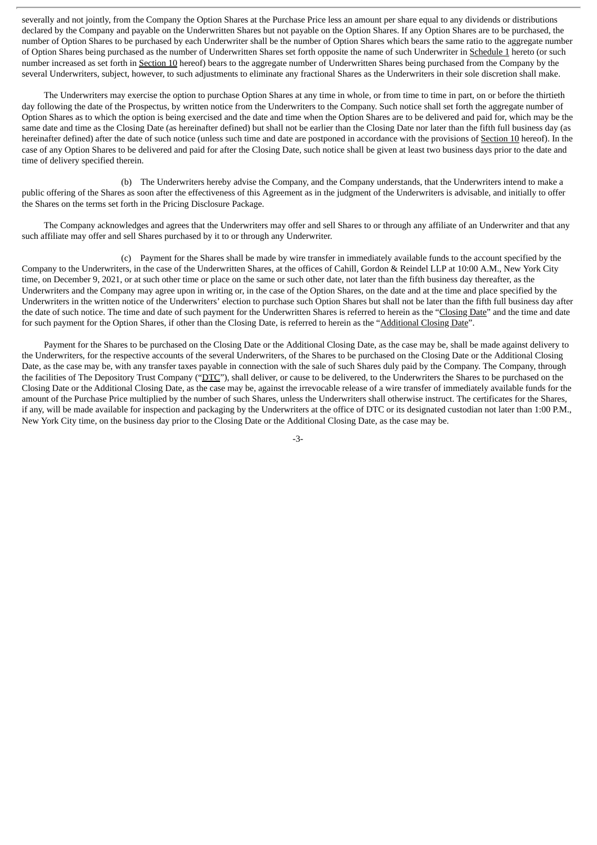severally and not jointly, from the Company the Option Shares at the Purchase Price less an amount per share equal to any dividends or distributions declared by the Company and payable on the Underwritten Shares but not payable on the Option Shares. If any Option Shares are to be purchased, the number of Option Shares to be purchased by each Underwriter shall be the number of Option Shares which bears the same ratio to the aggregate number of Option Shares being purchased as the number of Underwritten Shares set forth opposite the name of such Underwriter in Schedule 1 hereto (or such number increased as set forth in Section 10 hereof) bears to the aggregate number of Underwritten Shares being purchased from the Company by the several Underwriters, subject, however, to such adjustments to eliminate any fractional Shares as the Underwriters in their sole discretion shall make.

The Underwriters may exercise the option to purchase Option Shares at any time in whole, or from time to time in part, on or before the thirtieth day following the date of the Prospectus, by written notice from the Underwriters to the Company. Such notice shall set forth the aggregate number of Option Shares as to which the option is being exercised and the date and time when the Option Shares are to be delivered and paid for, which may be the same date and time as the Closing Date (as hereinafter defined) but shall not be earlier than the Closing Date nor later than the fifth full business day (as hereinafter defined) after the date of such notice (unless such time and date are postponed in accordance with the provisions of Section 10 hereof). In the case of any Option Shares to be delivered and paid for after the Closing Date, such notice shall be given at least two business days prior to the date and time of delivery specified therein.

(b) The Underwriters hereby advise the Company, and the Company understands, that the Underwriters intend to make a public offering of the Shares as soon after the effectiveness of this Agreement as in the judgment of the Underwriters is advisable, and initially to offer the Shares on the terms set forth in the Pricing Disclosure Package.

The Company acknowledges and agrees that the Underwriters may offer and sell Shares to or through any affiliate of an Underwriter and that any such affiliate may offer and sell Shares purchased by it to or through any Underwriter.

(c) Payment for the Shares shall be made by wire transfer in immediately available funds to the account specified by the Company to the Underwriters, in the case of the Underwritten Shares, at the offices of Cahill, Gordon & Reindel LLP at 10:00 A.M., New York City time, on December 9, 2021, or at such other time or place on the same or such other date, not later than the fifth business day thereafter, as the Underwriters and the Company may agree upon in writing or, in the case of the Option Shares, on the date and at the time and place specified by the Underwriters in the written notice of the Underwriters' election to purchase such Option Shares but shall not be later than the fifth full business day after the date of such notice. The time and date of such payment for the Underwritten Shares is referred to herein as the "Closing Date" and the time and date for such payment for the Option Shares, if other than the Closing Date, is referred to herein as the "Additional Closing Date".

Payment for the Shares to be purchased on the Closing Date or the Additional Closing Date, as the case may be, shall be made against delivery to the Underwriters, for the respective accounts of the several Underwriters, of the Shares to be purchased on the Closing Date or the Additional Closing Date, as the case may be, with any transfer taxes payable in connection with the sale of such Shares duly paid by the Company. The Company, through the facilities of The Depository Trust Company ("DTC"), shall deliver, or cause to be delivered, to the Underwriters the Shares to be purchased on the Closing Date or the Additional Closing Date, as the case may be, against the irrevocable release of a wire transfer of immediately available funds for the amount of the Purchase Price multiplied by the number of such Shares, unless the Underwriters shall otherwise instruct. The certificates for the Shares, if any, will be made available for inspection and packaging by the Underwriters at the office of DTC or its designated custodian not later than 1:00 P.M., New York City time, on the business day prior to the Closing Date or the Additional Closing Date, as the case may be.

-3-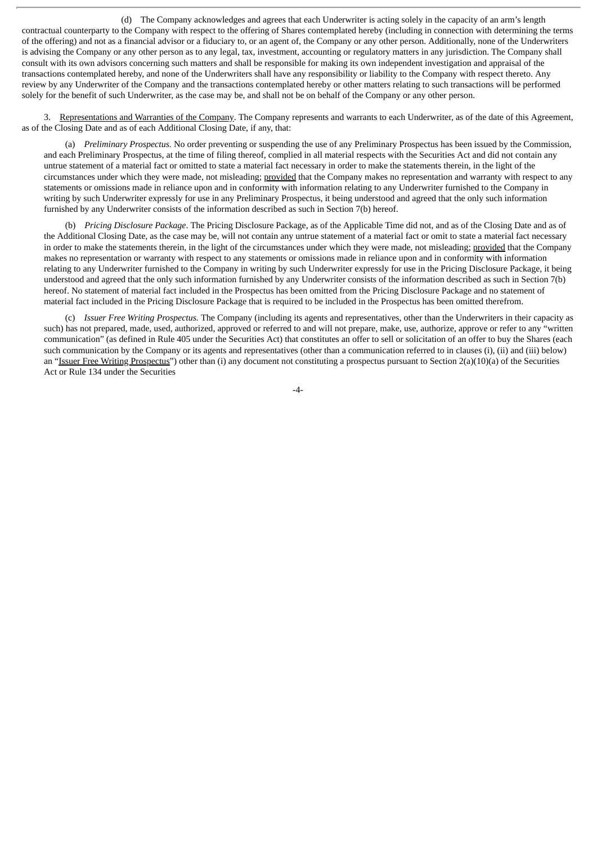(d) The Company acknowledges and agrees that each Underwriter is acting solely in the capacity of an arm's length contractual counterparty to the Company with respect to the offering of Shares contemplated hereby (including in connection with determining the terms of the offering) and not as a financial advisor or a fiduciary to, or an agent of, the Company or any other person. Additionally, none of the Underwriters is advising the Company or any other person as to any legal, tax, investment, accounting or regulatory matters in any jurisdiction. The Company shall consult with its own advisors concerning such matters and shall be responsible for making its own independent investigation and appraisal of the transactions contemplated hereby, and none of the Underwriters shall have any responsibility or liability to the Company with respect thereto. Any review by any Underwriter of the Company and the transactions contemplated hereby or other matters relating to such transactions will be performed solely for the benefit of such Underwriter, as the case may be, and shall not be on behalf of the Company or any other person.

3. Representations and Warranties of the Company. The Company represents and warrants to each Underwriter, as of the date of this Agreement, as of the Closing Date and as of each Additional Closing Date, if any, that:

(a) *Preliminary Prospectus.* No order preventing or suspending the use of any Preliminary Prospectus has been issued by the Commission, and each Preliminary Prospectus, at the time of filing thereof, complied in all material respects with the Securities Act and did not contain any untrue statement of a material fact or omitted to state a material fact necessary in order to make the statements therein, in the light of the circumstances under which they were made, not misleading; provided that the Company makes no representation and warranty with respect to any statements or omissions made in reliance upon and in conformity with information relating to any Underwriter furnished to the Company in writing by such Underwriter expressly for use in any Preliminary Prospectus, it being understood and agreed that the only such information furnished by any Underwriter consists of the information described as such in Section 7(b) hereof.

(b) *Pricing Disclosure Package*. The Pricing Disclosure Package, as of the Applicable Time did not, and as of the Closing Date and as of the Additional Closing Date, as the case may be, will not contain any untrue statement of a material fact or omit to state a material fact necessary in order to make the statements therein, in the light of the circumstances under which they were made, not misleading; provided that the Company makes no representation or warranty with respect to any statements or omissions made in reliance upon and in conformity with information relating to any Underwriter furnished to the Company in writing by such Underwriter expressly for use in the Pricing Disclosure Package, it being understood and agreed that the only such information furnished by any Underwriter consists of the information described as such in Section 7(b) hereof. No statement of material fact included in the Prospectus has been omitted from the Pricing Disclosure Package and no statement of material fact included in the Pricing Disclosure Package that is required to be included in the Prospectus has been omitted therefrom.

(c) *Issuer Free Writing Prospectus.* The Company (including its agents and representatives, other than the Underwriters in their capacity as such) has not prepared, made, used, authorized, approved or referred to and will not prepare, make, use, authorize, approve or refer to any "written communication" (as defined in Rule 405 under the Securities Act) that constitutes an offer to sell or solicitation of an offer to buy the Shares (each such communication by the Company or its agents and representatives (other than a communication referred to in clauses (i), (ii) and (iii) below) an "Issuer Free Writing Prospectus") other than (i) any document not constituting a prospectus pursuant to Section 2(a)(10)(a) of the Securities Act or Rule 134 under the Securities

-4-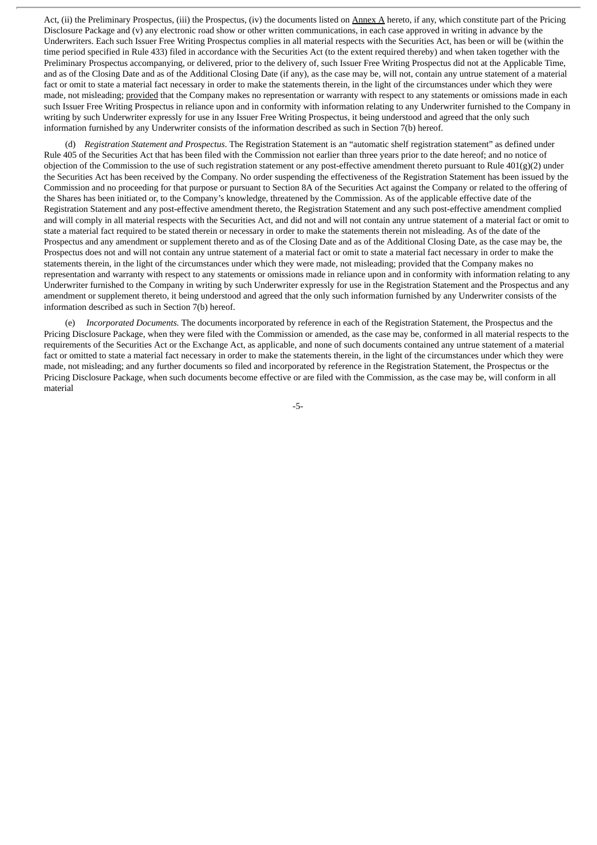Act, (ii) the Preliminary Prospectus, (iii) the Prospectus, (iv) the documents listed on Annex A hereto, if any, which constitute part of the Pricing Disclosure Package and (v) any electronic road show or other written communications, in each case approved in writing in advance by the Underwriters. Each such Issuer Free Writing Prospectus complies in all material respects with the Securities Act, has been or will be (within the time period specified in Rule 433) filed in accordance with the Securities Act (to the extent required thereby) and when taken together with the Preliminary Prospectus accompanying, or delivered, prior to the delivery of, such Issuer Free Writing Prospectus did not at the Applicable Time, and as of the Closing Date and as of the Additional Closing Date (if any), as the case may be, will not, contain any untrue statement of a material fact or omit to state a material fact necessary in order to make the statements therein, in the light of the circumstances under which they were made, not misleading; provided that the Company makes no representation or warranty with respect to any statements or omissions made in each such Issuer Free Writing Prospectus in reliance upon and in conformity with information relating to any Underwriter furnished to the Company in writing by such Underwriter expressly for use in any Issuer Free Writing Prospectus, it being understood and agreed that the only such information furnished by any Underwriter consists of the information described as such in Section 7(b) hereof.

(d) *Registration Statement and Prospectus*. The Registration Statement is an "automatic shelf registration statement" as defined under Rule 405 of the Securities Act that has been filed with the Commission not earlier than three years prior to the date hereof; and no notice of objection of the Commission to the use of such registration statement or any post-effective amendment thereto pursuant to Rule  $401(g)(2)$  under the Securities Act has been received by the Company. No order suspending the effectiveness of the Registration Statement has been issued by the Commission and no proceeding for that purpose or pursuant to Section 8A of the Securities Act against the Company or related to the offering of the Shares has been initiated or, to the Company's knowledge, threatened by the Commission. As of the applicable effective date of the Registration Statement and any post-effective amendment thereto, the Registration Statement and any such post-effective amendment complied and will comply in all material respects with the Securities Act, and did not and will not contain any untrue statement of a material fact or omit to state a material fact required to be stated therein or necessary in order to make the statements therein not misleading. As of the date of the Prospectus and any amendment or supplement thereto and as of the Closing Date and as of the Additional Closing Date, as the case may be, the Prospectus does not and will not contain any untrue statement of a material fact or omit to state a material fact necessary in order to make the statements therein, in the light of the circumstances under which they were made, not misleading; provided that the Company makes no representation and warranty with respect to any statements or omissions made in reliance upon and in conformity with information relating to any Underwriter furnished to the Company in writing by such Underwriter expressly for use in the Registration Statement and the Prospectus and any amendment or supplement thereto, it being understood and agreed that the only such information furnished by any Underwriter consists of the information described as such in Section 7(b) hereof.

(e) *Incorporated Documents.* The documents incorporated by reference in each of the Registration Statement, the Prospectus and the Pricing Disclosure Package, when they were filed with the Commission or amended, as the case may be, conformed in all material respects to the requirements of the Securities Act or the Exchange Act, as applicable, and none of such documents contained any untrue statement of a material fact or omitted to state a material fact necessary in order to make the statements therein, in the light of the circumstances under which they were made, not misleading; and any further documents so filed and incorporated by reference in the Registration Statement, the Prospectus or the Pricing Disclosure Package, when such documents become effective or are filed with the Commission, as the case may be, will conform in all material

-5-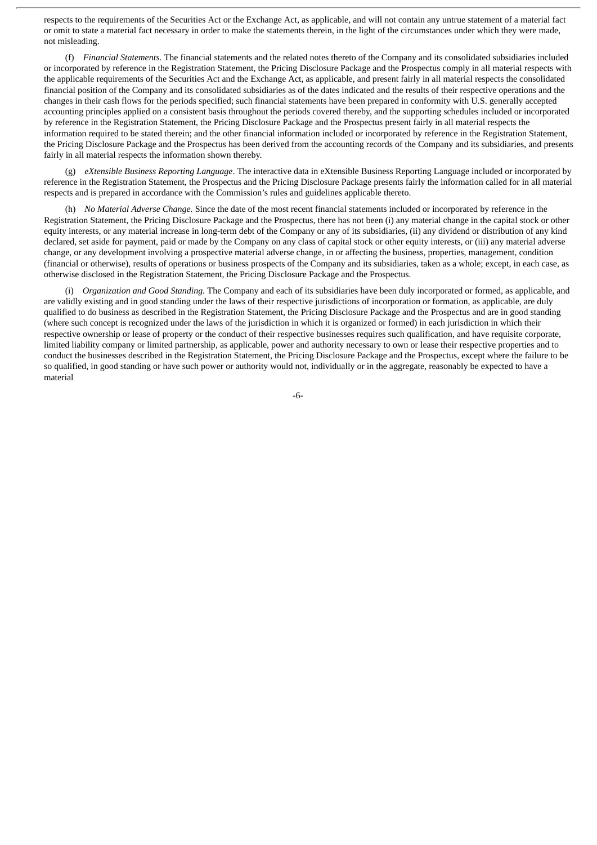respects to the requirements of the Securities Act or the Exchange Act, as applicable, and will not contain any untrue statement of a material fact or omit to state a material fact necessary in order to make the statements therein, in the light of the circumstances under which they were made, not misleading.

(f) *Financial Statements.* The financial statements and the related notes thereto of the Company and its consolidated subsidiaries included or incorporated by reference in the Registration Statement, the Pricing Disclosure Package and the Prospectus comply in all material respects with the applicable requirements of the Securities Act and the Exchange Act, as applicable, and present fairly in all material respects the consolidated financial position of the Company and its consolidated subsidiaries as of the dates indicated and the results of their respective operations and the changes in their cash flows for the periods specified; such financial statements have been prepared in conformity with U.S. generally accepted accounting principles applied on a consistent basis throughout the periods covered thereby, and the supporting schedules included or incorporated by reference in the Registration Statement, the Pricing Disclosure Package and the Prospectus present fairly in all material respects the information required to be stated therein; and the other financial information included or incorporated by reference in the Registration Statement, the Pricing Disclosure Package and the Prospectus has been derived from the accounting records of the Company and its subsidiaries, and presents fairly in all material respects the information shown thereby.

(g) *eXtensible Business Reporting Language*. The interactive data in eXtensible Business Reporting Language included or incorporated by reference in the Registration Statement, the Prospectus and the Pricing Disclosure Package presents fairly the information called for in all material respects and is prepared in accordance with the Commission's rules and guidelines applicable thereto.

(h) *No Material Adverse Change.* Since the date of the most recent financial statements included or incorporated by reference in the Registration Statement, the Pricing Disclosure Package and the Prospectus, there has not been (i) any material change in the capital stock or other equity interests, or any material increase in long-term debt of the Company or any of its subsidiaries, (ii) any dividend or distribution of any kind declared, set aside for payment, paid or made by the Company on any class of capital stock or other equity interests, or (iii) any material adverse change, or any development involving a prospective material adverse change, in or affecting the business, properties, management, condition (financial or otherwise), results of operations or business prospects of the Company and its subsidiaries, taken as a whole; except, in each case, as otherwise disclosed in the Registration Statement, the Pricing Disclosure Package and the Prospectus.

(i) *Organization and Good Standing.* The Company and each of its subsidiaries have been duly incorporated or formed, as applicable, and are validly existing and in good standing under the laws of their respective jurisdictions of incorporation or formation, as applicable, are duly qualified to do business as described in the Registration Statement, the Pricing Disclosure Package and the Prospectus and are in good standing (where such concept is recognized under the laws of the jurisdiction in which it is organized or formed) in each jurisdiction in which their respective ownership or lease of property or the conduct of their respective businesses requires such qualification, and have requisite corporate, limited liability company or limited partnership, as applicable, power and authority necessary to own or lease their respective properties and to conduct the businesses described in the Registration Statement, the Pricing Disclosure Package and the Prospectus, except where the failure to be so qualified, in good standing or have such power or authority would not, individually or in the aggregate, reasonably be expected to have a material

-6-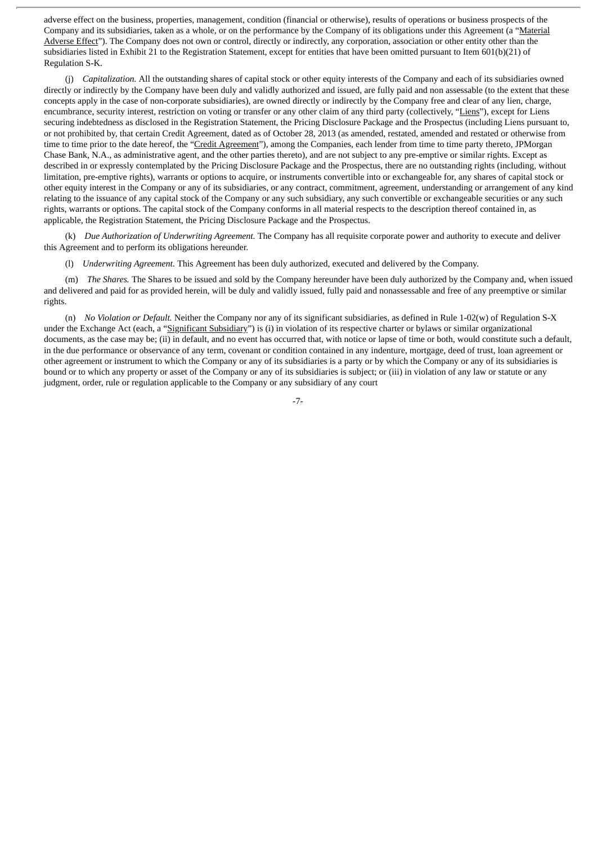adverse effect on the business, properties, management, condition (financial or otherwise), results of operations or business prospects of the Company and its subsidiaries, taken as a whole, or on the performance by the Company of its obligations under this Agreement (a "Material Adverse Effect"). The Company does not own or control, directly or indirectly, any corporation, association or other entity other than the subsidiaries listed in Exhibit 21 to the Registration Statement, except for entities that have been omitted pursuant to Item 601(b)(21) of Regulation S-K.

(j) *Capitalization.* All the outstanding shares of capital stock or other equity interests of the Company and each of its subsidiaries owned directly or indirectly by the Company have been duly and validly authorized and issued, are fully paid and non assessable (to the extent that these concepts apply in the case of non-corporate subsidiaries), are owned directly or indirectly by the Company free and clear of any lien, charge, encumbrance, security interest, restriction on voting or transfer or any other claim of any third party (collectively, "Liens"), except for Liens securing indebtedness as disclosed in the Registration Statement, the Pricing Disclosure Package and the Prospectus (including Liens pursuant to, or not prohibited by, that certain Credit Agreement, dated as of October 28, 2013 (as amended, restated, amended and restated or otherwise from time to time prior to the date hereof, the "Credit Agreement"), among the Companies, each lender from time to time party thereto, JPMorgan Chase Bank, N.A., as administrative agent, and the other parties thereto), and are not subject to any pre-emptive or similar rights. Except as described in or expressly contemplated by the Pricing Disclosure Package and the Prospectus, there are no outstanding rights (including, without limitation, pre-emptive rights), warrants or options to acquire, or instruments convertible into or exchangeable for, any shares of capital stock or other equity interest in the Company or any of its subsidiaries, or any contract, commitment, agreement, understanding or arrangement of any kind relating to the issuance of any capital stock of the Company or any such subsidiary, any such convertible or exchangeable securities or any such rights, warrants or options. The capital stock of the Company conforms in all material respects to the description thereof contained in, as applicable, the Registration Statement, the Pricing Disclosure Package and the Prospectus.

(k) *Due Authorization of Underwriting Agreement.* The Company has all requisite corporate power and authority to execute and deliver this Agreement and to perform its obligations hereunder.

(l) *Underwriting Agreement.* This Agreement has been duly authorized, executed and delivered by the Company.

(m) *The Shares.* The Shares to be issued and sold by the Company hereunder have been duly authorized by the Company and, when issued and delivered and paid for as provided herein, will be duly and validly issued, fully paid and nonassessable and free of any preemptive or similar rights.

(n) *No Violation or Default.* Neither the Company nor any of its significant subsidiaries, as defined in Rule 1-02(w) of Regulation S-X under the Exchange Act (each, a "Significant Subsidiary") is (i) in violation of its respective charter or bylaws or similar organizational documents, as the case may be; (ii) in default, and no event has occurred that, with notice or lapse of time or both, would constitute such a default, in the due performance or observance of any term, covenant or condition contained in any indenture, mortgage, deed of trust, loan agreement or other agreement or instrument to which the Company or any of its subsidiaries is a party or by which the Company or any of its subsidiaries is bound or to which any property or asset of the Company or any of its subsidiaries is subject; or (iii) in violation of any law or statute or any judgment, order, rule or regulation applicable to the Company or any subsidiary of any court

-7-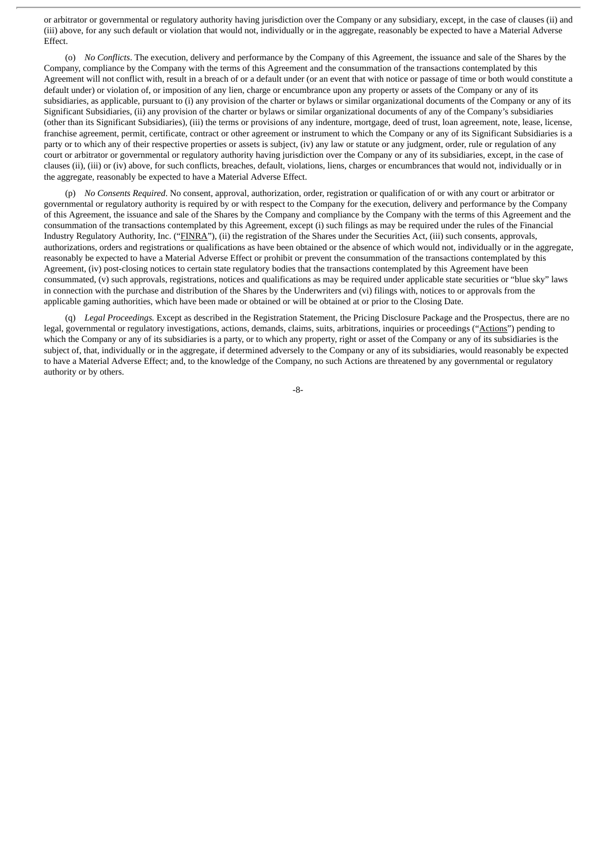or arbitrator or governmental or regulatory authority having jurisdiction over the Company or any subsidiary, except, in the case of clauses (ii) and (iii) above, for any such default or violation that would not, individually or in the aggregate, reasonably be expected to have a Material Adverse Effect.

(o) *No Conflicts*. The execution, delivery and performance by the Company of this Agreement, the issuance and sale of the Shares by the Company, compliance by the Company with the terms of this Agreement and the consummation of the transactions contemplated by this Agreement will not conflict with, result in a breach of or a default under (or an event that with notice or passage of time or both would constitute a default under) or violation of, or imposition of any lien, charge or encumbrance upon any property or assets of the Company or any of its subsidiaries, as applicable, pursuant to (i) any provision of the charter or bylaws or similar organizational documents of the Company or any of its Significant Subsidiaries, (ii) any provision of the charter or bylaws or similar organizational documents of any of the Company's subsidiaries (other than its Significant Subsidiaries), (iii) the terms or provisions of any indenture, mortgage, deed of trust, loan agreement, note, lease, license, franchise agreement, permit, certificate, contract or other agreement or instrument to which the Company or any of its Significant Subsidiaries is a party or to which any of their respective properties or assets is subject, (iv) any law or statute or any judgment, order, rule or regulation of any court or arbitrator or governmental or regulatory authority having jurisdiction over the Company or any of its subsidiaries, except, in the case of clauses (ii), (iii) or (iv) above, for such conflicts, breaches, default, violations, liens, charges or encumbrances that would not, individually or in the aggregate, reasonably be expected to have a Material Adverse Effect.

(p) *No Consents Required*. No consent, approval, authorization, order, registration or qualification of or with any court or arbitrator or governmental or regulatory authority is required by or with respect to the Company for the execution, delivery and performance by the Company of this Agreement, the issuance and sale of the Shares by the Company and compliance by the Company with the terms of this Agreement and the consummation of the transactions contemplated by this Agreement, except (i) such filings as may be required under the rules of the Financial Industry Regulatory Authority, Inc. ("FINRA"), (ii) the registration of the Shares under the Securities Act, (iii) such consents, approvals, authorizations, orders and registrations or qualifications as have been obtained or the absence of which would not, individually or in the aggregate, reasonably be expected to have a Material Adverse Effect or prohibit or prevent the consummation of the transactions contemplated by this Agreement, (iv) post-closing notices to certain state regulatory bodies that the transactions contemplated by this Agreement have been consummated, (v) such approvals, registrations, notices and qualifications as may be required under applicable state securities or "blue sky" laws in connection with the purchase and distribution of the Shares by the Underwriters and (vi) filings with, notices to or approvals from the applicable gaming authorities, which have been made or obtained or will be obtained at or prior to the Closing Date.

(q) *Legal Proceedings.* Except as described in the Registration Statement, the Pricing Disclosure Package and the Prospectus, there are no legal, governmental or regulatory investigations, actions, demands, claims, suits, arbitrations, inquiries or proceedings ("Actions") pending to which the Company or any of its subsidiaries is a party, or to which any property, right or asset of the Company or any of its subsidiaries is the subject of, that, individually or in the aggregate, if determined adversely to the Company or any of its subsidiaries, would reasonably be expected to have a Material Adverse Effect; and, to the knowledge of the Company, no such Actions are threatened by any governmental or regulatory authority or by others.

-8-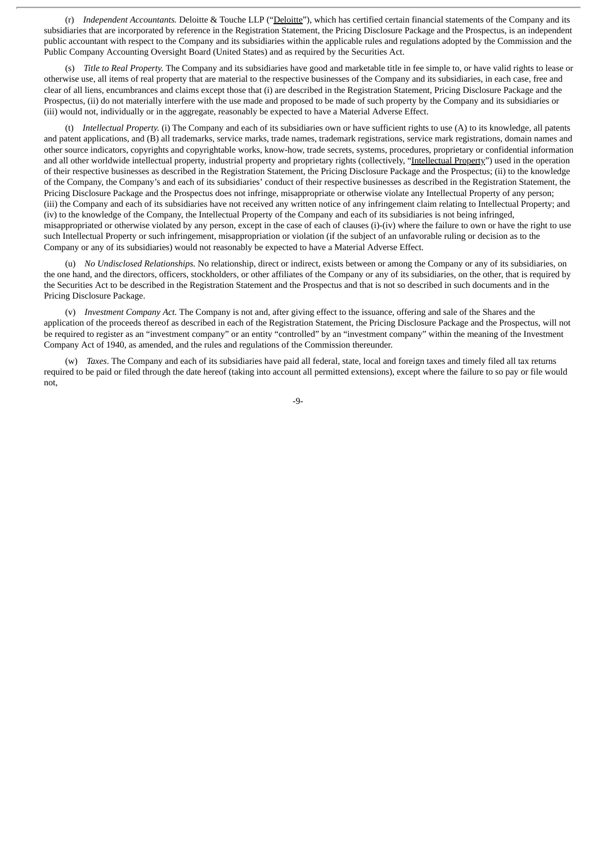(r) *Independent Accountants.* Deloitte & Touche LLP ("Deloitte"), which has certified certain financial statements of the Company and its subsidiaries that are incorporated by reference in the Registration Statement, the Pricing Disclosure Package and the Prospectus, is an independent public accountant with respect to the Company and its subsidiaries within the applicable rules and regulations adopted by the Commission and the Public Company Accounting Oversight Board (United States) and as required by the Securities Act.

(s) *Title to Real Property.* The Company and its subsidiaries have good and marketable title in fee simple to, or have valid rights to lease or otherwise use, all items of real property that are material to the respective businesses of the Company and its subsidiaries, in each case, free and clear of all liens, encumbrances and claims except those that (i) are described in the Registration Statement, Pricing Disclosure Package and the Prospectus, (ii) do not materially interfere with the use made and proposed to be made of such property by the Company and its subsidiaries or (iii) would not, individually or in the aggregate, reasonably be expected to have a Material Adverse Effect.

(t) *Intellectual Property.* (i) The Company and each of its subsidiaries own or have sufficient rights to use (A) to its knowledge, all patents and patent applications, and (B) all trademarks, service marks, trade names, trademark registrations, service mark registrations, domain names and other source indicators, copyrights and copyrightable works, know-how, trade secrets, systems, procedures, proprietary or confidential information and all other worldwide intellectual property, industrial property and proprietary rights (collectively, "Intellectual Property") used in the operation of their respective businesses as described in the Registration Statement, the Pricing Disclosure Package and the Prospectus; (ii) to the knowledge of the Company, the Company's and each of its subsidiaries' conduct of their respective businesses as described in the Registration Statement, the Pricing Disclosure Package and the Prospectus does not infringe, misappropriate or otherwise violate any Intellectual Property of any person; (iii) the Company and each of its subsidiaries have not received any written notice of any infringement claim relating to Intellectual Property; and (iv) to the knowledge of the Company, the Intellectual Property of the Company and each of its subsidiaries is not being infringed, misappropriated or otherwise violated by any person, except in the case of each of clauses (i)-(iv) where the failure to own or have the right to use such Intellectual Property or such infringement, misappropriation or violation (if the subject of an unfavorable ruling or decision as to the Company or any of its subsidiaries) would not reasonably be expected to have a Material Adverse Effect.

(u) *No Undisclosed Relationships.* No relationship, direct or indirect, exists between or among the Company or any of its subsidiaries, on the one hand, and the directors, officers, stockholders, or other affiliates of the Company or any of its subsidiaries, on the other, that is required by the Securities Act to be described in the Registration Statement and the Prospectus and that is not so described in such documents and in the Pricing Disclosure Package.

(v) *Investment Company Act.* The Company is not and, after giving effect to the issuance, offering and sale of the Shares and the application of the proceeds thereof as described in each of the Registration Statement, the Pricing Disclosure Package and the Prospectus, will not be required to register as an "investment company" or an entity "controlled" by an "investment company" within the meaning of the Investment Company Act of 1940, as amended, and the rules and regulations of the Commission thereunder.

(w) *Taxes*. The Company and each of its subsidiaries have paid all federal, state, local and foreign taxes and timely filed all tax returns required to be paid or filed through the date hereof (taking into account all permitted extensions), except where the failure to so pay or file would not,

-9-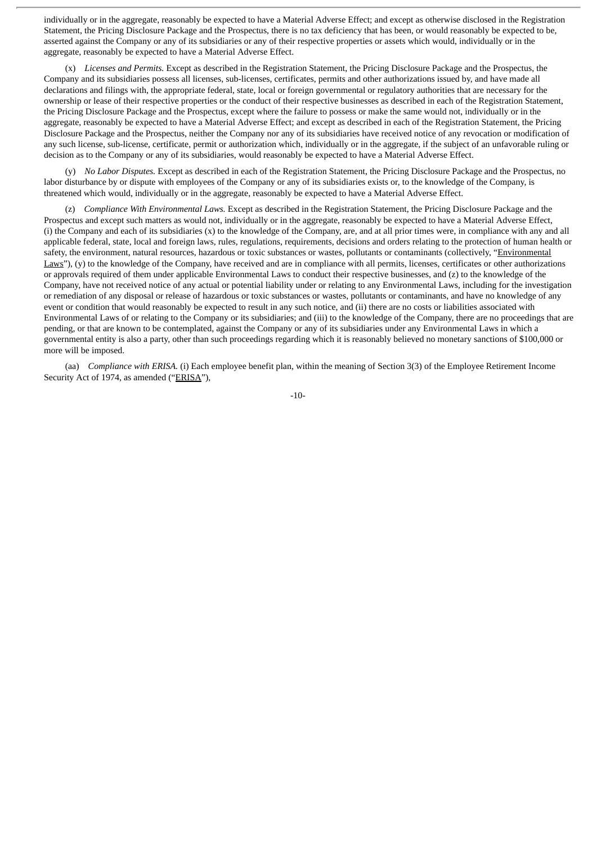individually or in the aggregate, reasonably be expected to have a Material Adverse Effect; and except as otherwise disclosed in the Registration Statement, the Pricing Disclosure Package and the Prospectus, there is no tax deficiency that has been, or would reasonably be expected to be, asserted against the Company or any of its subsidiaries or any of their respective properties or assets which would, individually or in the aggregate, reasonably be expected to have a Material Adverse Effect.

(x) *Licenses and Permits.* Except as described in the Registration Statement, the Pricing Disclosure Package and the Prospectus, the Company and its subsidiaries possess all licenses, sub-licenses, certificates, permits and other authorizations issued by, and have made all declarations and filings with, the appropriate federal, state, local or foreign governmental or regulatory authorities that are necessary for the ownership or lease of their respective properties or the conduct of their respective businesses as described in each of the Registration Statement, the Pricing Disclosure Package and the Prospectus, except where the failure to possess or make the same would not, individually or in the aggregate, reasonably be expected to have a Material Adverse Effect; and except as described in each of the Registration Statement, the Pricing Disclosure Package and the Prospectus, neither the Company nor any of its subsidiaries have received notice of any revocation or modification of any such license, sub-license, certificate, permit or authorization which, individually or in the aggregate, if the subject of an unfavorable ruling or decision as to the Company or any of its subsidiaries, would reasonably be expected to have a Material Adverse Effect.

(y) *No Labor Disputes.* Except as described in each of the Registration Statement, the Pricing Disclosure Package and the Prospectus, no labor disturbance by or dispute with employees of the Company or any of its subsidiaries exists or, to the knowledge of the Company, is threatened which would, individually or in the aggregate, reasonably be expected to have a Material Adverse Effect.

(z) *Compliance With Environmental Laws.* Except as described in the Registration Statement, the Pricing Disclosure Package and the Prospectus and except such matters as would not, individually or in the aggregate, reasonably be expected to have a Material Adverse Effect, (i) the Company and each of its subsidiaries (x) to the knowledge of the Company, are, and at all prior times were, in compliance with any and all applicable federal, state, local and foreign laws, rules, regulations, requirements, decisions and orders relating to the protection of human health or safety, the environment, natural resources, hazardous or toxic substances or wastes, pollutants or contaminants (collectively, "Environmental Laws"), (y) to the knowledge of the Company, have received and are in compliance with all permits, licenses, certificates or other authorizations or approvals required of them under applicable Environmental Laws to conduct their respective businesses, and (z) to the knowledge of the Company, have not received notice of any actual or potential liability under or relating to any Environmental Laws, including for the investigation or remediation of any disposal or release of hazardous or toxic substances or wastes, pollutants or contaminants, and have no knowledge of any event or condition that would reasonably be expected to result in any such notice, and (ii) there are no costs or liabilities associated with Environmental Laws of or relating to the Company or its subsidiaries; and (iii) to the knowledge of the Company, there are no proceedings that are pending, or that are known to be contemplated, against the Company or any of its subsidiaries under any Environmental Laws in which a governmental entity is also a party, other than such proceedings regarding which it is reasonably believed no monetary sanctions of \$100,000 or more will be imposed.

(aa) *Compliance with ERISA.* (i) Each employee benefit plan, within the meaning of Section 3(3) of the Employee Retirement Income Security Act of 1974, as amended ("ERISA"),

-10-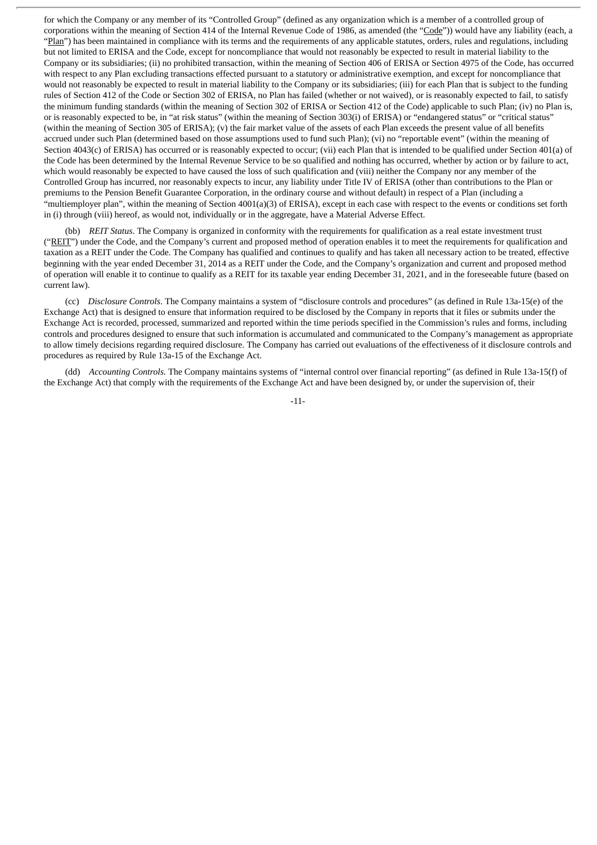for which the Company or any member of its "Controlled Group" (defined as any organization which is a member of a controlled group of corporations within the meaning of Section 414 of the Internal Revenue Code of 1986, as amended (the "Code")) would have any liability (each, a "Plan") has been maintained in compliance with its terms and the requirements of any applicable statutes, orders, rules and regulations, including but not limited to ERISA and the Code, except for noncompliance that would not reasonably be expected to result in material liability to the Company or its subsidiaries; (ii) no prohibited transaction, within the meaning of Section 406 of ERISA or Section 4975 of the Code, has occurred with respect to any Plan excluding transactions effected pursuant to a statutory or administrative exemption, and except for noncompliance that would not reasonably be expected to result in material liability to the Company or its subsidiaries; (iii) for each Plan that is subject to the funding rules of Section 412 of the Code or Section 302 of ERISA, no Plan has failed (whether or not waived), or is reasonably expected to fail, to satisfy the minimum funding standards (within the meaning of Section 302 of ERISA or Section 412 of the Code) applicable to such Plan; (iv) no Plan is, or is reasonably expected to be, in "at risk status" (within the meaning of Section 303(i) of ERISA) or "endangered status" or "critical status" (within the meaning of Section 305 of ERISA); (v) the fair market value of the assets of each Plan exceeds the present value of all benefits accrued under such Plan (determined based on those assumptions used to fund such Plan); (vi) no "reportable event" (within the meaning of Section 4043(c) of ERISA) has occurred or is reasonably expected to occur; (vii) each Plan that is intended to be qualified under Section 401(a) of the Code has been determined by the Internal Revenue Service to be so qualified and nothing has occurred, whether by action or by failure to act, which would reasonably be expected to have caused the loss of such qualification and (viii) neither the Company nor any member of the Controlled Group has incurred, nor reasonably expects to incur, any liability under Title IV of ERISA (other than contributions to the Plan or premiums to the Pension Benefit Guarantee Corporation, in the ordinary course and without default) in respect of a Plan (including a "multiemployer plan", within the meaning of Section 4001(a)(3) of ERISA), except in each case with respect to the events or conditions set forth in (i) through (viii) hereof, as would not, individually or in the aggregate, have a Material Adverse Effect.

(bb) *REIT Status*. The Company is organized in conformity with the requirements for qualification as a real estate investment trust ("REIT") under the Code, and the Company's current and proposed method of operation enables it to meet the requirements for qualification and taxation as a REIT under the Code. The Company has qualified and continues to qualify and has taken all necessary action to be treated, effective beginning with the year ended December 31, 2014 as a REIT under the Code, and the Company's organization and current and proposed method of operation will enable it to continue to qualify as a REIT for its taxable year ending December 31, 2021, and in the foreseeable future (based on current law).

(cc) *Disclosure Controls*. The Company maintains a system of "disclosure controls and procedures" (as defined in Rule 13a-15(e) of the Exchange Act) that is designed to ensure that information required to be disclosed by the Company in reports that it files or submits under the Exchange Act is recorded, processed, summarized and reported within the time periods specified in the Commission's rules and forms, including controls and procedures designed to ensure that such information is accumulated and communicated to the Company's management as appropriate to allow timely decisions regarding required disclosure. The Company has carried out evaluations of the effectiveness of it disclosure controls and procedures as required by Rule 13a-15 of the Exchange Act.

(dd) *Accounting Controls.* The Company maintains systems of "internal control over financial reporting" (as defined in Rule 13a-15(f) of the Exchange Act) that comply with the requirements of the Exchange Act and have been designed by, or under the supervision of, their

-11-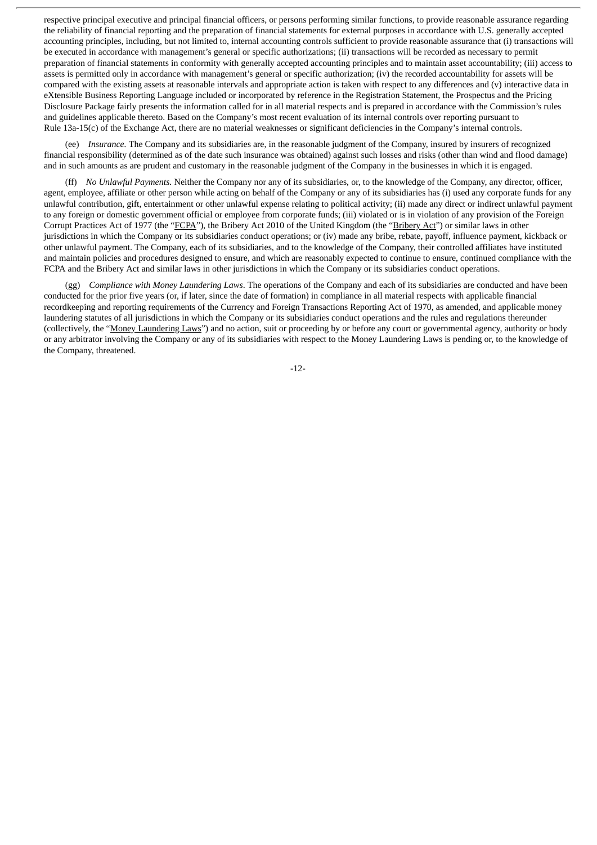respective principal executive and principal financial officers, or persons performing similar functions, to provide reasonable assurance regarding the reliability of financial reporting and the preparation of financial statements for external purposes in accordance with U.S. generally accepted accounting principles, including, but not limited to, internal accounting controls sufficient to provide reasonable assurance that (i) transactions will be executed in accordance with management's general or specific authorizations; (ii) transactions will be recorded as necessary to permit preparation of financial statements in conformity with generally accepted accounting principles and to maintain asset accountability; (iii) access to assets is permitted only in accordance with management's general or specific authorization; (iv) the recorded accountability for assets will be compared with the existing assets at reasonable intervals and appropriate action is taken with respect to any differences and (v) interactive data in eXtensible Business Reporting Language included or incorporated by reference in the Registration Statement, the Prospectus and the Pricing Disclosure Package fairly presents the information called for in all material respects and is prepared in accordance with the Commission's rules and guidelines applicable thereto. Based on the Company's most recent evaluation of its internal controls over reporting pursuant to Rule 13a-15(c) of the Exchange Act, there are no material weaknesses or significant deficiencies in the Company's internal controls.

(ee) *Insurance.* The Company and its subsidiaries are, in the reasonable judgment of the Company, insured by insurers of recognized financial responsibility (determined as of the date such insurance was obtained) against such losses and risks (other than wind and flood damage) and in such amounts as are prudent and customary in the reasonable judgment of the Company in the businesses in which it is engaged.

(ff) *No Unlawful Payments.* Neither the Company nor any of its subsidiaries, or, to the knowledge of the Company, any director, officer, agent, employee, affiliate or other person while acting on behalf of the Company or any of its subsidiaries has (i) used any corporate funds for any unlawful contribution, gift, entertainment or other unlawful expense relating to political activity; (ii) made any direct or indirect unlawful payment to any foreign or domestic government official or employee from corporate funds; (iii) violated or is in violation of any provision of the Foreign Corrupt Practices Act of 1977 (the "FCPA"), the Bribery Act 2010 of the United Kingdom (the "Bribery Act") or similar laws in other jurisdictions in which the Company or its subsidiaries conduct operations; or (iv) made any bribe, rebate, payoff, influence payment, kickback or other unlawful payment. The Company, each of its subsidiaries, and to the knowledge of the Company, their controlled affiliates have instituted and maintain policies and procedures designed to ensure, and which are reasonably expected to continue to ensure, continued compliance with the FCPA and the Bribery Act and similar laws in other jurisdictions in which the Company or its subsidiaries conduct operations.

(gg) *Compliance with Money Laundering Laws*. The operations of the Company and each of its subsidiaries are conducted and have been conducted for the prior five years (or, if later, since the date of formation) in compliance in all material respects with applicable financial recordkeeping and reporting requirements of the Currency and Foreign Transactions Reporting Act of 1970, as amended, and applicable money laundering statutes of all jurisdictions in which the Company or its subsidiaries conduct operations and the rules and regulations thereunder (collectively, the "Money Laundering Laws") and no action, suit or proceeding by or before any court or governmental agency, authority or body or any arbitrator involving the Company or any of its subsidiaries with respect to the Money Laundering Laws is pending or, to the knowledge of the Company, threatened.

-12-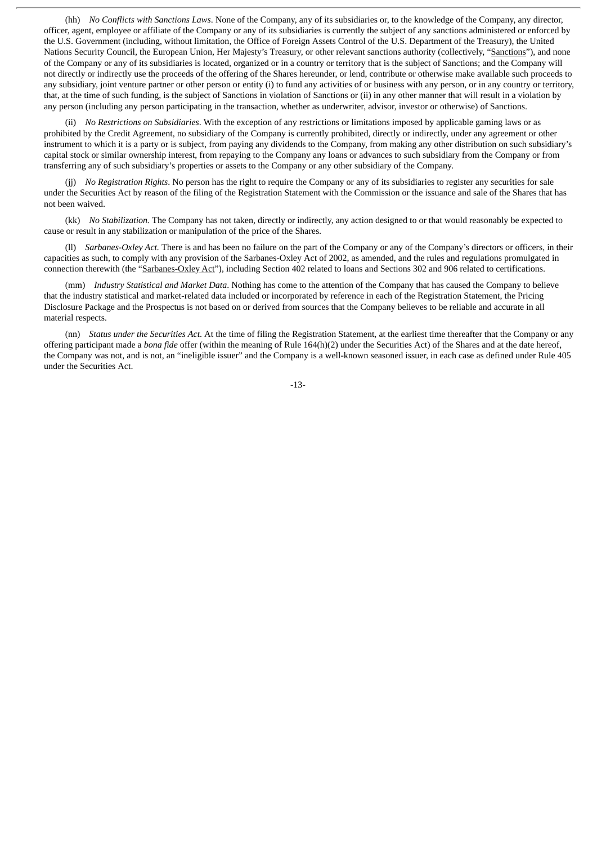(hh) *No Conflicts with Sanctions Laws*. None of the Company, any of its subsidiaries or, to the knowledge of the Company, any director, officer, agent, employee or affiliate of the Company or any of its subsidiaries is currently the subject of any sanctions administered or enforced by the U.S. Government (including, without limitation, the Office of Foreign Assets Control of the U.S. Department of the Treasury), the United Nations Security Council, the European Union, Her Majesty's Treasury, or other relevant sanctions authority (collectively, "Sanctions"), and none of the Company or any of its subsidiaries is located, organized or in a country or territory that is the subject of Sanctions; and the Company will not directly or indirectly use the proceeds of the offering of the Shares hereunder, or lend, contribute or otherwise make available such proceeds to any subsidiary, joint venture partner or other person or entity (i) to fund any activities of or business with any person, or in any country or territory, that, at the time of such funding, is the subject of Sanctions in violation of Sanctions or (ii) in any other manner that will result in a violation by any person (including any person participating in the transaction, whether as underwriter, advisor, investor or otherwise) of Sanctions.

(ii) *No Restrictions on Subsidiaries*. With the exception of any restrictions or limitations imposed by applicable gaming laws or as prohibited by the Credit Agreement, no subsidiary of the Company is currently prohibited, directly or indirectly, under any agreement or other instrument to which it is a party or is subject, from paying any dividends to the Company, from making any other distribution on such subsidiary's capital stock or similar ownership interest, from repaying to the Company any loans or advances to such subsidiary from the Company or from transferring any of such subsidiary's properties or assets to the Company or any other subsidiary of the Company.

(jj) *No Registration Rights*. No person has the right to require the Company or any of its subsidiaries to register any securities for sale under the Securities Act by reason of the filing of the Registration Statement with the Commission or the issuance and sale of the Shares that has not been waived.

(kk) *No Stabilization.* The Company has not taken, directly or indirectly, any action designed to or that would reasonably be expected to cause or result in any stabilization or manipulation of the price of the Shares.

(ll) *Sarbanes-Oxley Act.* There is and has been no failure on the part of the Company or any of the Company's directors or officers, in their capacities as such, to comply with any provision of the Sarbanes-Oxley Act of 2002, as amended, and the rules and regulations promulgated in connection therewith (the "Sarbanes-Oxley Act"), including Section 402 related to loans and Sections 302 and 906 related to certifications.

(mm) *Industry Statistical and Market Data*. Nothing has come to the attention of the Company that has caused the Company to believe that the industry statistical and market-related data included or incorporated by reference in each of the Registration Statement, the Pricing Disclosure Package and the Prospectus is not based on or derived from sources that the Company believes to be reliable and accurate in all material respects.

(nn) *Status under the Securities Act*. At the time of filing the Registration Statement, at the earliest time thereafter that the Company or any offering participant made a *bona fide* offer (within the meaning of Rule 164(h)(2) under the Securities Act) of the Shares and at the date hereof, the Company was not, and is not, an "ineligible issuer" and the Company is a well-known seasoned issuer, in each case as defined under Rule 405 under the Securities Act.

-13-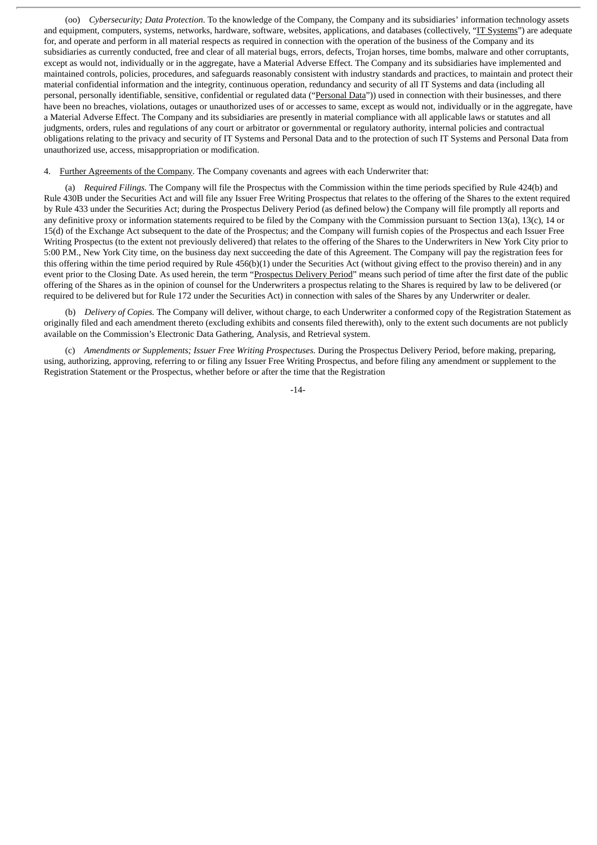(oo) *Cybersecurity; Data Protection*. To the knowledge of the Company, the Company and its subsidiaries' information technology assets and equipment, computers, systems, networks, hardware, software, websites, applications, and databases (collectively, "IT Systems") are adequate for, and operate and perform in all material respects as required in connection with the operation of the business of the Company and its subsidiaries as currently conducted, free and clear of all material bugs, errors, defects, Trojan horses, time bombs, malware and other corruptants, except as would not, individually or in the aggregate, have a Material Adverse Effect. The Company and its subsidiaries have implemented and maintained controls, policies, procedures, and safeguards reasonably consistent with industry standards and practices, to maintain and protect their material confidential information and the integrity, continuous operation, redundancy and security of all IT Systems and data (including all personal, personally identifiable, sensitive, confidential or regulated data ("Personal Data")) used in connection with their businesses, and there have been no breaches, violations, outages or unauthorized uses of or accesses to same, except as would not, individually or in the aggregate, have a Material Adverse Effect. The Company and its subsidiaries are presently in material compliance with all applicable laws or statutes and all judgments, orders, rules and regulations of any court or arbitrator or governmental or regulatory authority, internal policies and contractual obligations relating to the privacy and security of IT Systems and Personal Data and to the protection of such IT Systems and Personal Data from unauthorized use, access, misappropriation or modification.

4. Further Agreements of the Company. The Company covenants and agrees with each Underwriter that:

(a) *Required Filings.* The Company will file the Prospectus with the Commission within the time periods specified by Rule 424(b) and Rule 430B under the Securities Act and will file any Issuer Free Writing Prospectus that relates to the offering of the Shares to the extent required by Rule 433 under the Securities Act; during the Prospectus Delivery Period (as defined below) the Company will file promptly all reports and any definitive proxy or information statements required to be filed by the Company with the Commission pursuant to Section 13(a), 13(c), 14 or 15(d) of the Exchange Act subsequent to the date of the Prospectus; and the Company will furnish copies of the Prospectus and each Issuer Free Writing Prospectus (to the extent not previously delivered) that relates to the offering of the Shares to the Underwriters in New York City prior to 5:00 P.M., New York City time, on the business day next succeeding the date of this Agreement. The Company will pay the registration fees for this offering within the time period required by Rule 456(b)(1) under the Securities Act (without giving effect to the proviso therein) and in any event prior to the Closing Date. As used herein, the term "Prospectus Delivery Period" means such period of time after the first date of the public offering of the Shares as in the opinion of counsel for the Underwriters a prospectus relating to the Shares is required by law to be delivered (or required to be delivered but for Rule 172 under the Securities Act) in connection with sales of the Shares by any Underwriter or dealer.

(b) *Delivery of Copies.* The Company will deliver, without charge, to each Underwriter a conformed copy of the Registration Statement as originally filed and each amendment thereto (excluding exhibits and consents filed therewith), only to the extent such documents are not publicly available on the Commission's Electronic Data Gathering, Analysis, and Retrieval system.

(c) *Amendments or Supplements; Issuer Free Writing Prospectuses.* During the Prospectus Delivery Period, before making, preparing, using, authorizing, approving, referring to or filing any Issuer Free Writing Prospectus, and before filing any amendment or supplement to the Registration Statement or the Prospectus, whether before or after the time that the Registration

-14-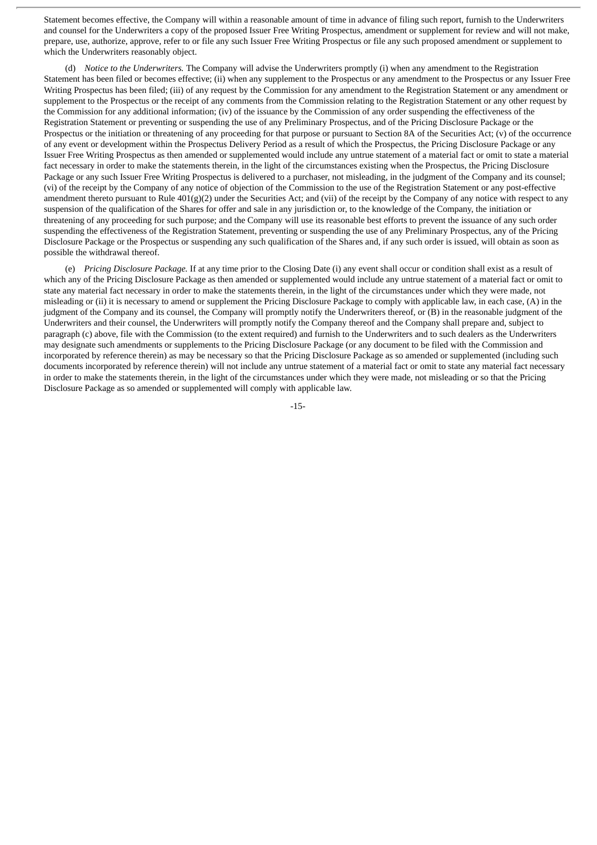Statement becomes effective, the Company will within a reasonable amount of time in advance of filing such report, furnish to the Underwriters and counsel for the Underwriters a copy of the proposed Issuer Free Writing Prospectus, amendment or supplement for review and will not make, prepare, use, authorize, approve, refer to or file any such Issuer Free Writing Prospectus or file any such proposed amendment or supplement to which the Underwriters reasonably object.

(d) *Notice to the Underwriters.* The Company will advise the Underwriters promptly (i) when any amendment to the Registration Statement has been filed or becomes effective; (ii) when any supplement to the Prospectus or any amendment to the Prospectus or any Issuer Free Writing Prospectus has been filed; (iii) of any request by the Commission for any amendment to the Registration Statement or any amendment or supplement to the Prospectus or the receipt of any comments from the Commission relating to the Registration Statement or any other request by the Commission for any additional information; (iv) of the issuance by the Commission of any order suspending the effectiveness of the Registration Statement or preventing or suspending the use of any Preliminary Prospectus, and of the Pricing Disclosure Package or the Prospectus or the initiation or threatening of any proceeding for that purpose or pursuant to Section 8A of the Securities Act; (v) of the occurrence of any event or development within the Prospectus Delivery Period as a result of which the Prospectus, the Pricing Disclosure Package or any Issuer Free Writing Prospectus as then amended or supplemented would include any untrue statement of a material fact or omit to state a material fact necessary in order to make the statements therein, in the light of the circumstances existing when the Prospectus, the Pricing Disclosure Package or any such Issuer Free Writing Prospectus is delivered to a purchaser, not misleading, in the judgment of the Company and its counsel; (vi) of the receipt by the Company of any notice of objection of the Commission to the use of the Registration Statement or any post-effective amendment thereto pursuant to Rule 401(g)(2) under the Securities Act; and (vii) of the receipt by the Company of any notice with respect to any suspension of the qualification of the Shares for offer and sale in any jurisdiction or, to the knowledge of the Company, the initiation or threatening of any proceeding for such purpose; and the Company will use its reasonable best efforts to prevent the issuance of any such order suspending the effectiveness of the Registration Statement, preventing or suspending the use of any Preliminary Prospectus, any of the Pricing Disclosure Package or the Prospectus or suspending any such qualification of the Shares and, if any such order is issued, will obtain as soon as possible the withdrawal thereof.

(e) *Pricing Disclosure Package.* If at any time prior to the Closing Date (i) any event shall occur or condition shall exist as a result of which any of the Pricing Disclosure Package as then amended or supplemented would include any untrue statement of a material fact or omit to state any material fact necessary in order to make the statements therein, in the light of the circumstances under which they were made, not misleading or (ii) it is necessary to amend or supplement the Pricing Disclosure Package to comply with applicable law, in each case, (A) in the judgment of the Company and its counsel, the Company will promptly notify the Underwriters thereof, or (B) in the reasonable judgment of the Underwriters and their counsel, the Underwriters will promptly notify the Company thereof and the Company shall prepare and, subject to paragraph (c) above, file with the Commission (to the extent required) and furnish to the Underwriters and to such dealers as the Underwriters may designate such amendments or supplements to the Pricing Disclosure Package (or any document to be filed with the Commission and incorporated by reference therein) as may be necessary so that the Pricing Disclosure Package as so amended or supplemented (including such documents incorporated by reference therein) will not include any untrue statement of a material fact or omit to state any material fact necessary in order to make the statements therein, in the light of the circumstances under which they were made, not misleading or so that the Pricing Disclosure Package as so amended or supplemented will comply with applicable law.

-15-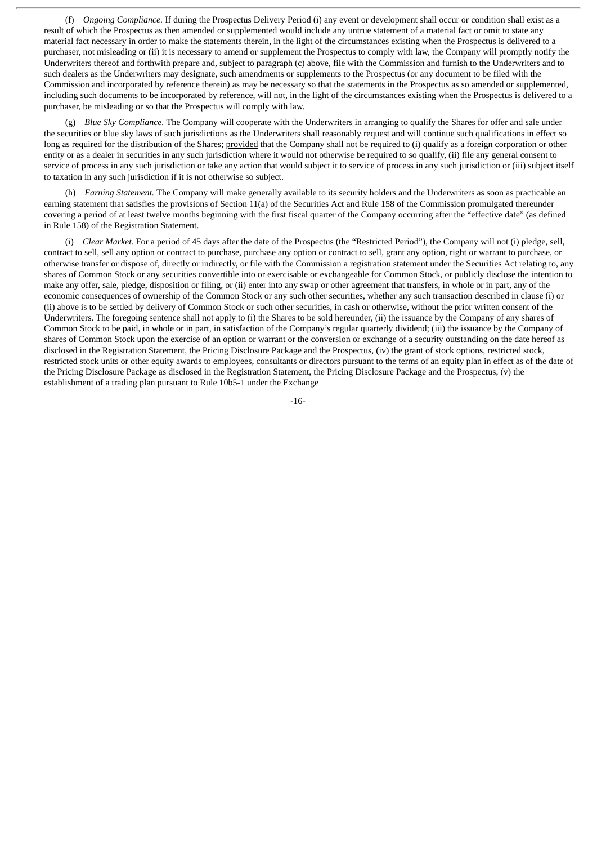(f) *Ongoing Compliance.* If during the Prospectus Delivery Period (i) any event or development shall occur or condition shall exist as a result of which the Prospectus as then amended or supplemented would include any untrue statement of a material fact or omit to state any material fact necessary in order to make the statements therein, in the light of the circumstances existing when the Prospectus is delivered to a purchaser, not misleading or (ii) it is necessary to amend or supplement the Prospectus to comply with law, the Company will promptly notify the Underwriters thereof and forthwith prepare and, subject to paragraph (c) above, file with the Commission and furnish to the Underwriters and to such dealers as the Underwriters may designate, such amendments or supplements to the Prospectus (or any document to be filed with the Commission and incorporated by reference therein) as may be necessary so that the statements in the Prospectus as so amended or supplemented, including such documents to be incorporated by reference, will not, in the light of the circumstances existing when the Prospectus is delivered to a purchaser, be misleading or so that the Prospectus will comply with law.

(g) *Blue Sky Compliance.* The Company will cooperate with the Underwriters in arranging to qualify the Shares for offer and sale under the securities or blue sky laws of such jurisdictions as the Underwriters shall reasonably request and will continue such qualifications in effect so long as required for the distribution of the Shares; provided that the Company shall not be required to (i) qualify as a foreign corporation or other entity or as a dealer in securities in any such jurisdiction where it would not otherwise be required to so qualify, (ii) file any general consent to service of process in any such jurisdiction or take any action that would subject it to service of process in any such jurisdiction or (iii) subject itself to taxation in any such jurisdiction if it is not otherwise so subject.

(h) *Earning Statement.* The Company will make generally available to its security holders and the Underwriters as soon as practicable an earning statement that satisfies the provisions of Section 11(a) of the Securities Act and Rule 158 of the Commission promulgated thereunder covering a period of at least twelve months beginning with the first fiscal quarter of the Company occurring after the "effective date" (as defined in Rule 158) of the Registration Statement.

(i) *Clear Market.* For a period of 45 days after the date of the Prospectus (the "Restricted Period"), the Company will not (i) pledge, sell, contract to sell, sell any option or contract to purchase, purchase any option or contract to sell, grant any option, right or warrant to purchase, or otherwise transfer or dispose of, directly or indirectly, or file with the Commission a registration statement under the Securities Act relating to, any shares of Common Stock or any securities convertible into or exercisable or exchangeable for Common Stock, or publicly disclose the intention to make any offer, sale, pledge, disposition or filing, or (ii) enter into any swap or other agreement that transfers, in whole or in part, any of the economic consequences of ownership of the Common Stock or any such other securities, whether any such transaction described in clause (i) or (ii) above is to be settled by delivery of Common Stock or such other securities, in cash or otherwise, without the prior written consent of the Underwriters. The foregoing sentence shall not apply to (i) the Shares to be sold hereunder, (ii) the issuance by the Company of any shares of Common Stock to be paid, in whole or in part, in satisfaction of the Company's regular quarterly dividend; (iii) the issuance by the Company of shares of Common Stock upon the exercise of an option or warrant or the conversion or exchange of a security outstanding on the date hereof as disclosed in the Registration Statement, the Pricing Disclosure Package and the Prospectus, (iv) the grant of stock options, restricted stock, restricted stock units or other equity awards to employees, consultants or directors pursuant to the terms of an equity plan in effect as of the date of the Pricing Disclosure Package as disclosed in the Registration Statement, the Pricing Disclosure Package and the Prospectus, (v) the establishment of a trading plan pursuant to Rule 10b5-1 under the Exchange

-16-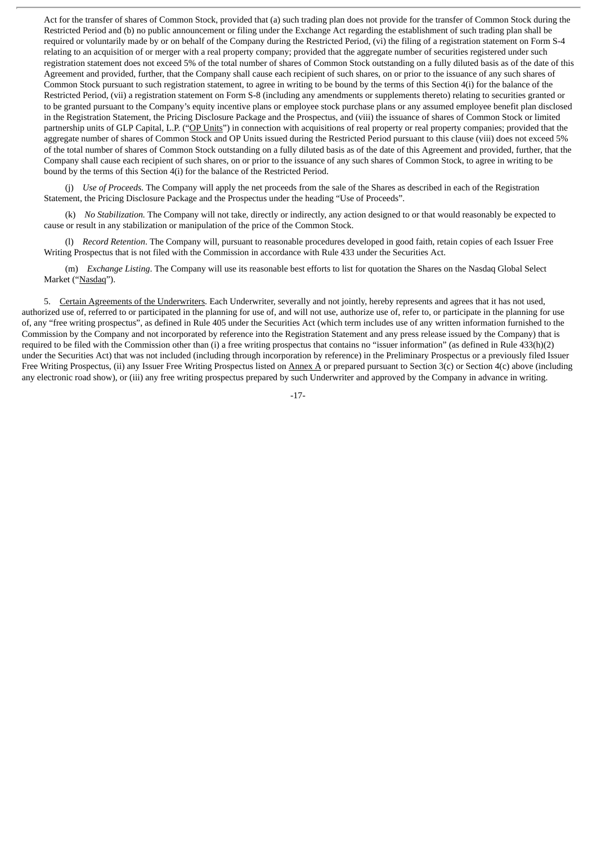Act for the transfer of shares of Common Stock, provided that (a) such trading plan does not provide for the transfer of Common Stock during the Restricted Period and (b) no public announcement or filing under the Exchange Act regarding the establishment of such trading plan shall be required or voluntarily made by or on behalf of the Company during the Restricted Period, (vi) the filing of a registration statement on Form S-4 relating to an acquisition of or merger with a real property company; provided that the aggregate number of securities registered under such registration statement does not exceed 5% of the total number of shares of Common Stock outstanding on a fully diluted basis as of the date of this Agreement and provided, further, that the Company shall cause each recipient of such shares, on or prior to the issuance of any such shares of Common Stock pursuant to such registration statement, to agree in writing to be bound by the terms of this Section 4(i) for the balance of the Restricted Period, (vii) a registration statement on Form S-8 (including any amendments or supplements thereto) relating to securities granted or to be granted pursuant to the Company's equity incentive plans or employee stock purchase plans or any assumed employee benefit plan disclosed in the Registration Statement, the Pricing Disclosure Package and the Prospectus, and (viii) the issuance of shares of Common Stock or limited partnership units of GLP Capital, L.P. ("OP Units") in connection with acquisitions of real property or real property companies; provided that the aggregate number of shares of Common Stock and OP Units issued during the Restricted Period pursuant to this clause (viii) does not exceed 5% of the total number of shares of Common Stock outstanding on a fully diluted basis as of the date of this Agreement and provided, further, that the Company shall cause each recipient of such shares, on or prior to the issuance of any such shares of Common Stock, to agree in writing to be bound by the terms of this Section 4(i) for the balance of the Restricted Period.

(j) *Use of Proceeds.* The Company will apply the net proceeds from the sale of the Shares as described in each of the Registration Statement, the Pricing Disclosure Package and the Prospectus under the heading "Use of Proceeds".

(k) *No Stabilization.* The Company will not take, directly or indirectly, any action designed to or that would reasonably be expected to cause or result in any stabilization or manipulation of the price of the Common Stock.

(l) *Record Retention*. The Company will, pursuant to reasonable procedures developed in good faith, retain copies of each Issuer Free Writing Prospectus that is not filed with the Commission in accordance with Rule 433 under the Securities Act.

(m) *Exchange Listing*. The Company will use its reasonable best efforts to list for quotation the Shares on the Nasdaq Global Select Market ("Nasdaq").

5. Certain Agreements of the Underwriters. Each Underwriter, severally and not jointly, hereby represents and agrees that it has not used, authorized use of, referred to or participated in the planning for use of, and will not use, authorize use of, refer to, or participate in the planning for use of, any "free writing prospectus", as defined in Rule 405 under the Securities Act (which term includes use of any written information furnished to the Commission by the Company and not incorporated by reference into the Registration Statement and any press release issued by the Company) that is required to be filed with the Commission other than (i) a free writing prospectus that contains no "issuer information" (as defined in Rule 433(h)(2) under the Securities Act) that was not included (including through incorporation by reference) in the Preliminary Prospectus or a previously filed Issuer Free Writing Prospectus, (ii) any Issuer Free Writing Prospectus listed on Annex A or prepared pursuant to Section 3(c) or Section 4(c) above (including any electronic road show), or (iii) any free writing prospectus prepared by such Underwriter and approved by the Company in advance in writing.

-17-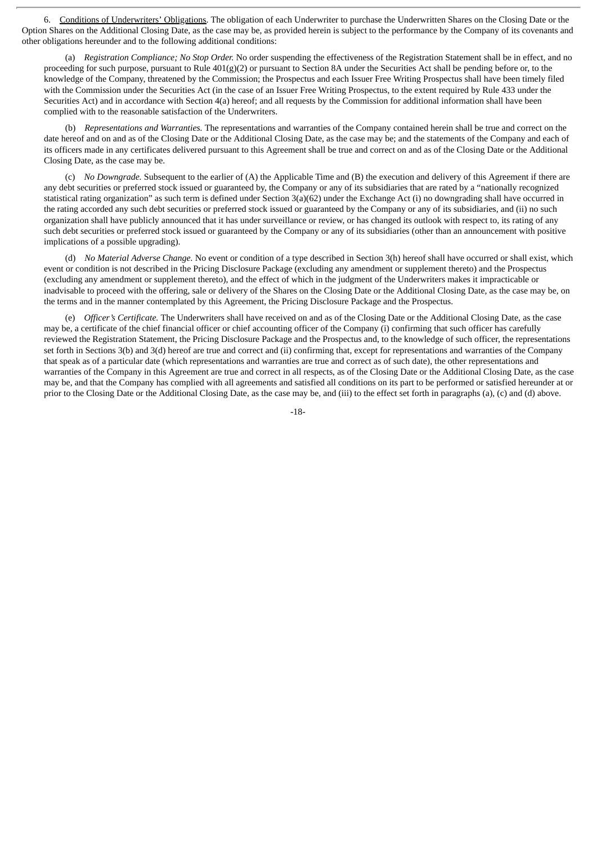6. Conditions of Underwriters' Obligations. The obligation of each Underwriter to purchase the Underwritten Shares on the Closing Date or the Option Shares on the Additional Closing Date, as the case may be, as provided herein is subject to the performance by the Company of its covenants and other obligations hereunder and to the following additional conditions:

(a) *Registration Compliance; No Stop Order.* No order suspending the effectiveness of the Registration Statement shall be in effect, and no proceeding for such purpose, pursuant to Rule 401(g)(2) or pursuant to Section 8A under the Securities Act shall be pending before or, to the knowledge of the Company, threatened by the Commission; the Prospectus and each Issuer Free Writing Prospectus shall have been timely filed with the Commission under the Securities Act (in the case of an Issuer Free Writing Prospectus, to the extent required by Rule 433 under the Securities Act) and in accordance with Section 4(a) hereof; and all requests by the Commission for additional information shall have been complied with to the reasonable satisfaction of the Underwriters.

(b) *Representations and Warranties.* The representations and warranties of the Company contained herein shall be true and correct on the date hereof and on and as of the Closing Date or the Additional Closing Date, as the case may be; and the statements of the Company and each of its officers made in any certificates delivered pursuant to this Agreement shall be true and correct on and as of the Closing Date or the Additional Closing Date, as the case may be.

(c) *No Downgrade.* Subsequent to the earlier of (A) the Applicable Time and (B) the execution and delivery of this Agreement if there are any debt securities or preferred stock issued or guaranteed by, the Company or any of its subsidiaries that are rated by a "nationally recognized statistical rating organization" as such term is defined under Section 3(a)(62) under the Exchange Act (i) no downgrading shall have occurred in the rating accorded any such debt securities or preferred stock issued or guaranteed by the Company or any of its subsidiaries, and (ii) no such organization shall have publicly announced that it has under surveillance or review, or has changed its outlook with respect to, its rating of any such debt securities or preferred stock issued or guaranteed by the Company or any of its subsidiaries (other than an announcement with positive implications of a possible upgrading).

(d) *No Material Adverse Change.* No event or condition of a type described in Section 3(h) hereof shall have occurred or shall exist, which event or condition is not described in the Pricing Disclosure Package (excluding any amendment or supplement thereto) and the Prospectus (excluding any amendment or supplement thereto), and the effect of which in the judgment of the Underwriters makes it impracticable or inadvisable to proceed with the offering, sale or delivery of the Shares on the Closing Date or the Additional Closing Date, as the case may be, on the terms and in the manner contemplated by this Agreement, the Pricing Disclosure Package and the Prospectus.

(e) *Officer's Certificate.* The Underwriters shall have received on and as of the Closing Date or the Additional Closing Date, as the case may be, a certificate of the chief financial officer or chief accounting officer of the Company (i) confirming that such officer has carefully reviewed the Registration Statement, the Pricing Disclosure Package and the Prospectus and, to the knowledge of such officer, the representations set forth in Sections 3(b) and 3(d) hereof are true and correct and (ii) confirming that, except for representations and warranties of the Company that speak as of a particular date (which representations and warranties are true and correct as of such date), the other representations and warranties of the Company in this Agreement are true and correct in all respects, as of the Closing Date or the Additional Closing Date, as the case may be, and that the Company has complied with all agreements and satisfied all conditions on its part to be performed or satisfied hereunder at or prior to the Closing Date or the Additional Closing Date, as the case may be, and (iii) to the effect set forth in paragraphs (a), (c) and (d) above.

-18-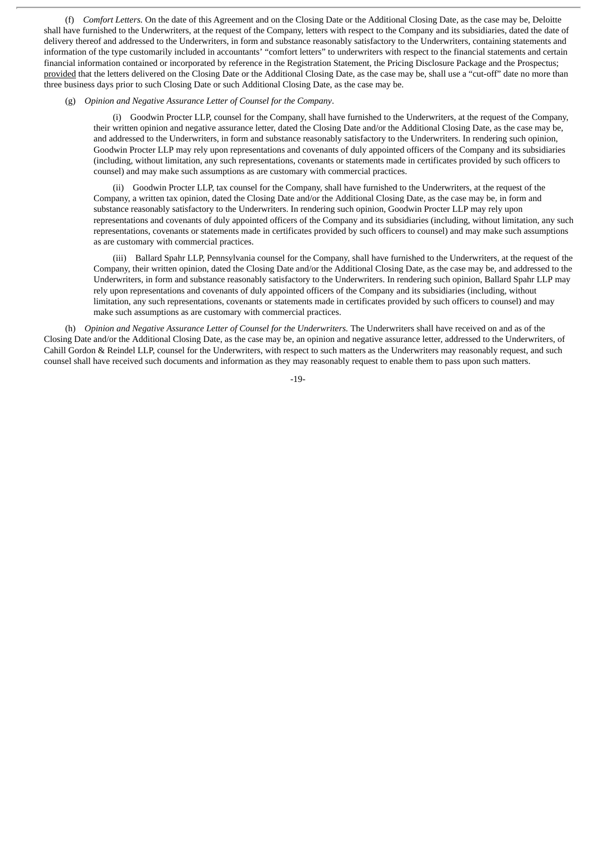(f) *Comfort Letters.* On the date of this Agreement and on the Closing Date or the Additional Closing Date, as the case may be, Deloitte shall have furnished to the Underwriters, at the request of the Company, letters with respect to the Company and its subsidiaries, dated the date of delivery thereof and addressed to the Underwriters, in form and substance reasonably satisfactory to the Underwriters, containing statements and information of the type customarily included in accountants' "comfort letters" to underwriters with respect to the financial statements and certain financial information contained or incorporated by reference in the Registration Statement, the Pricing Disclosure Package and the Prospectus; provided that the letters delivered on the Closing Date or the Additional Closing Date, as the case may be, shall use a "cut-off" date no more than three business days prior to such Closing Date or such Additional Closing Date, as the case may be.

#### (g) *Opinion and Negative Assurance Letter of Counsel for the Company*.

(i) Goodwin Procter LLP, counsel for the Company, shall have furnished to the Underwriters, at the request of the Company, their written opinion and negative assurance letter, dated the Closing Date and/or the Additional Closing Date, as the case may be, and addressed to the Underwriters, in form and substance reasonably satisfactory to the Underwriters. In rendering such opinion, Goodwin Procter LLP may rely upon representations and covenants of duly appointed officers of the Company and its subsidiaries (including, without limitation, any such representations, covenants or statements made in certificates provided by such officers to counsel) and may make such assumptions as are customary with commercial practices.

(ii) Goodwin Procter LLP, tax counsel for the Company, shall have furnished to the Underwriters, at the request of the Company, a written tax opinion, dated the Closing Date and/or the Additional Closing Date, as the case may be, in form and substance reasonably satisfactory to the Underwriters. In rendering such opinion, Goodwin Procter LLP may rely upon representations and covenants of duly appointed officers of the Company and its subsidiaries (including, without limitation, any such representations, covenants or statements made in certificates provided by such officers to counsel) and may make such assumptions as are customary with commercial practices.

(iii) Ballard Spahr LLP, Pennsylvania counsel for the Company, shall have furnished to the Underwriters, at the request of the Company, their written opinion, dated the Closing Date and/or the Additional Closing Date, as the case may be, and addressed to the Underwriters, in form and substance reasonably satisfactory to the Underwriters. In rendering such opinion, Ballard Spahr LLP may rely upon representations and covenants of duly appointed officers of the Company and its subsidiaries (including, without limitation, any such representations, covenants or statements made in certificates provided by such officers to counsel) and may make such assumptions as are customary with commercial practices.

(h) *Opinion and Negative Assurance Letter of Counsel for the Underwriters.* The Underwriters shall have received on and as of the Closing Date and/or the Additional Closing Date, as the case may be, an opinion and negative assurance letter, addressed to the Underwriters, of Cahill Gordon & Reindel LLP, counsel for the Underwriters, with respect to such matters as the Underwriters may reasonably request, and such counsel shall have received such documents and information as they may reasonably request to enable them to pass upon such matters.

-19-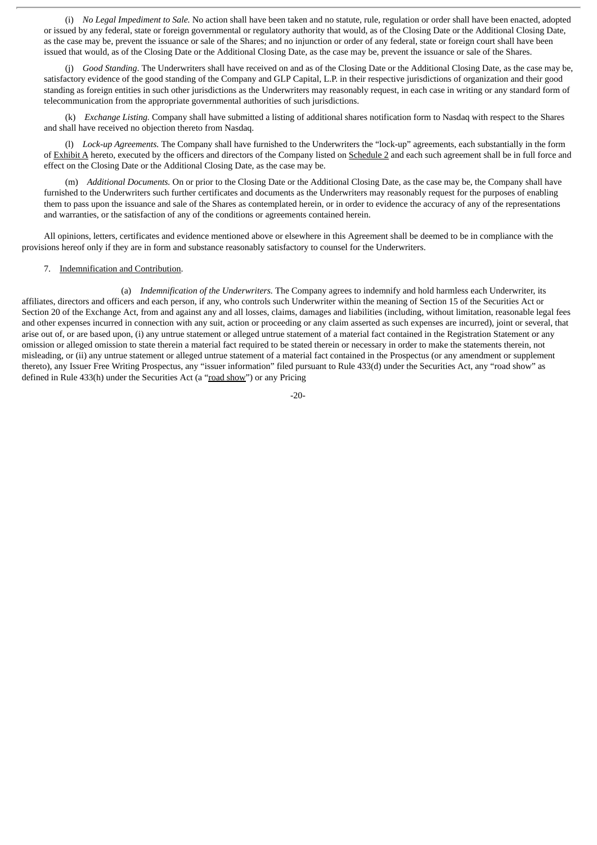(i) *No Legal Impediment to Sale.* No action shall have been taken and no statute, rule, regulation or order shall have been enacted, adopted or issued by any federal, state or foreign governmental or regulatory authority that would, as of the Closing Date or the Additional Closing Date, as the case may be, prevent the issuance or sale of the Shares; and no injunction or order of any federal, state or foreign court shall have been issued that would, as of the Closing Date or the Additional Closing Date, as the case may be, prevent the issuance or sale of the Shares.

(j) *Good Standing*. The Underwriters shall have received on and as of the Closing Date or the Additional Closing Date, as the case may be, satisfactory evidence of the good standing of the Company and GLP Capital, L.P. in their respective jurisdictions of organization and their good standing as foreign entities in such other jurisdictions as the Underwriters may reasonably request, in each case in writing or any standard form of telecommunication from the appropriate governmental authorities of such jurisdictions.

(k) *Exchange Listing.* Company shall have submitted a listing of additional shares notification form to Nasdaq with respect to the Shares and shall have received no objection thereto from Nasdaq.

(l) *Lock-up Agreements.* The Company shall have furnished to the Underwriters the "lock-up" agreements, each substantially in the form of Exhibit A hereto, executed by the officers and directors of the Company listed on Schedule 2 and each such agreement shall be in full force and effect on the Closing Date or the Additional Closing Date, as the case may be.

(m) *Additional Documents.* On or prior to the Closing Date or the Additional Closing Date, as the case may be, the Company shall have furnished to the Underwriters such further certificates and documents as the Underwriters may reasonably request for the purposes of enabling them to pass upon the issuance and sale of the Shares as contemplated herein, or in order to evidence the accuracy of any of the representations and warranties, or the satisfaction of any of the conditions or agreements contained herein.

All opinions, letters, certificates and evidence mentioned above or elsewhere in this Agreement shall be deemed to be in compliance with the provisions hereof only if they are in form and substance reasonably satisfactory to counsel for the Underwriters.

#### 7. Indemnification and Contribution.

(a) *Indemnification of the Underwriters.* The Company agrees to indemnify and hold harmless each Underwriter, its affiliates, directors and officers and each person, if any, who controls such Underwriter within the meaning of Section 15 of the Securities Act or Section 20 of the Exchange Act, from and against any and all losses, claims, damages and liabilities (including, without limitation, reasonable legal fees and other expenses incurred in connection with any suit, action or proceeding or any claim asserted as such expenses are incurred), joint or several, that arise out of, or are based upon, (i) any untrue statement or alleged untrue statement of a material fact contained in the Registration Statement or any omission or alleged omission to state therein a material fact required to be stated therein or necessary in order to make the statements therein, not misleading, or (ii) any untrue statement or alleged untrue statement of a material fact contained in the Prospectus (or any amendment or supplement thereto), any Issuer Free Writing Prospectus, any "issuer information" filed pursuant to Rule 433(d) under the Securities Act, any "road show" as defined in Rule 433(h) under the Securities Act (a "road show") or any Pricing

-20-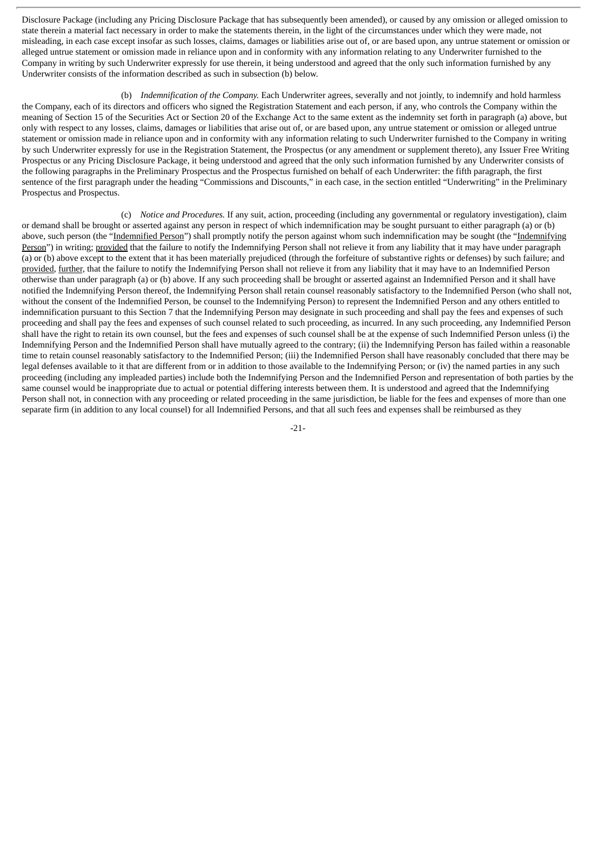Disclosure Package (including any Pricing Disclosure Package that has subsequently been amended), or caused by any omission or alleged omission to state therein a material fact necessary in order to make the statements therein, in the light of the circumstances under which they were made, not misleading, in each case except insofar as such losses, claims, damages or liabilities arise out of, or are based upon, any untrue statement or omission or alleged untrue statement or omission made in reliance upon and in conformity with any information relating to any Underwriter furnished to the Company in writing by such Underwriter expressly for use therein, it being understood and agreed that the only such information furnished by any Underwriter consists of the information described as such in subsection (b) below.

(b) *Indemnification of the Company.* Each Underwriter agrees, severally and not jointly, to indemnify and hold harmless the Company, each of its directors and officers who signed the Registration Statement and each person, if any, who controls the Company within the meaning of Section 15 of the Securities Act or Section 20 of the Exchange Act to the same extent as the indemnity set forth in paragraph (a) above, but only with respect to any losses, claims, damages or liabilities that arise out of, or are based upon, any untrue statement or omission or alleged untrue statement or omission made in reliance upon and in conformity with any information relating to such Underwriter furnished to the Company in writing by such Underwriter expressly for use in the Registration Statement, the Prospectus (or any amendment or supplement thereto), any Issuer Free Writing Prospectus or any Pricing Disclosure Package, it being understood and agreed that the only such information furnished by any Underwriter consists of the following paragraphs in the Preliminary Prospectus and the Prospectus furnished on behalf of each Underwriter: the fifth paragraph, the first sentence of the first paragraph under the heading "Commissions and Discounts," in each case, in the section entitled "Underwriting" in the Preliminary Prospectus and Prospectus.

(c) *Notice and Procedures.* If any suit, action, proceeding (including any governmental or regulatory investigation), claim or demand shall be brought or asserted against any person in respect of which indemnification may be sought pursuant to either paragraph (a) or (b) above, such person (the "Indemnified Person") shall promptly notify the person against whom such indemnification may be sought (the "Indemnifying Person") in writing; provided that the failure to notify the Indemnifying Person shall not relieve it from any liability that it may have under paragraph (a) or (b) above except to the extent that it has been materially prejudiced (through the forfeiture of substantive rights or defenses) by such failure; and provided, further, that the failure to notify the Indemnifying Person shall not relieve it from any liability that it may have to an Indemnified Person otherwise than under paragraph (a) or (b) above. If any such proceeding shall be brought or asserted against an Indemnified Person and it shall have notified the Indemnifying Person thereof, the Indemnifying Person shall retain counsel reasonably satisfactory to the Indemnified Person (who shall not, without the consent of the Indemnified Person, be counsel to the Indemnifying Person) to represent the Indemnified Person and any others entitled to indemnification pursuant to this Section 7 that the Indemnifying Person may designate in such proceeding and shall pay the fees and expenses of such proceeding and shall pay the fees and expenses of such counsel related to such proceeding, as incurred. In any such proceeding, any Indemnified Person shall have the right to retain its own counsel, but the fees and expenses of such counsel shall be at the expense of such Indemnified Person unless (i) the Indemnifying Person and the Indemnified Person shall have mutually agreed to the contrary; (ii) the Indemnifying Person has failed within a reasonable time to retain counsel reasonably satisfactory to the Indemnified Person; (iii) the Indemnified Person shall have reasonably concluded that there may be legal defenses available to it that are different from or in addition to those available to the Indemnifying Person; or (iv) the named parties in any such proceeding (including any impleaded parties) include both the Indemnifying Person and the Indemnified Person and representation of both parties by the same counsel would be inappropriate due to actual or potential differing interests between them. It is understood and agreed that the Indemnifying Person shall not, in connection with any proceeding or related proceeding in the same jurisdiction, be liable for the fees and expenses of more than one separate firm (in addition to any local counsel) for all Indemnified Persons, and that all such fees and expenses shall be reimbursed as they

-21-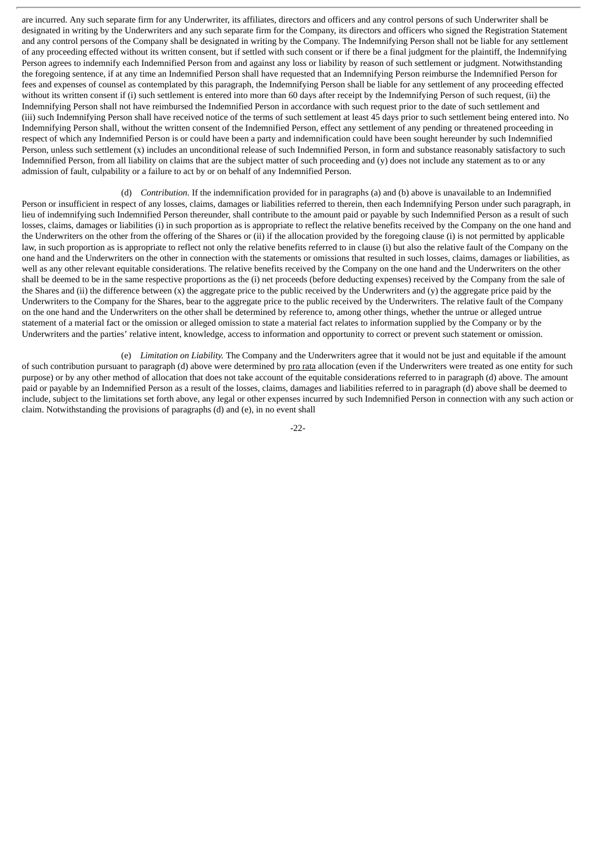are incurred. Any such separate firm for any Underwriter, its affiliates, directors and officers and any control persons of such Underwriter shall be designated in writing by the Underwriters and any such separate firm for the Company, its directors and officers who signed the Registration Statement and any control persons of the Company shall be designated in writing by the Company. The Indemnifying Person shall not be liable for any settlement of any proceeding effected without its written consent, but if settled with such consent or if there be a final judgment for the plaintiff, the Indemnifying Person agrees to indemnify each Indemnified Person from and against any loss or liability by reason of such settlement or judgment. Notwithstanding the foregoing sentence, if at any time an Indemnified Person shall have requested that an Indemnifying Person reimburse the Indemnified Person for fees and expenses of counsel as contemplated by this paragraph, the Indemnifying Person shall be liable for any settlement of any proceeding effected without its written consent if (i) such settlement is entered into more than 60 days after receipt by the Indemnifying Person of such request, (ii) the Indemnifying Person shall not have reimbursed the Indemnified Person in accordance with such request prior to the date of such settlement and (iii) such Indemnifying Person shall have received notice of the terms of such settlement at least 45 days prior to such settlement being entered into. No Indemnifying Person shall, without the written consent of the Indemnified Person, effect any settlement of any pending or threatened proceeding in respect of which any Indemnified Person is or could have been a party and indemnification could have been sought hereunder by such Indemnified Person, unless such settlement (x) includes an unconditional release of such Indemnified Person, in form and substance reasonably satisfactory to such Indemnified Person, from all liability on claims that are the subject matter of such proceeding and (y) does not include any statement as to or any admission of fault, culpability or a failure to act by or on behalf of any Indemnified Person.

(d) *Contribution.* If the indemnification provided for in paragraphs (a) and (b) above is unavailable to an Indemnified Person or insufficient in respect of any losses, claims, damages or liabilities referred to therein, then each Indemnifying Person under such paragraph, in lieu of indemnifying such Indemnified Person thereunder, shall contribute to the amount paid or payable by such Indemnified Person as a result of such losses, claims, damages or liabilities (i) in such proportion as is appropriate to reflect the relative benefits received by the Company on the one hand and the Underwriters on the other from the offering of the Shares or (ii) if the allocation provided by the foregoing clause (i) is not permitted by applicable law, in such proportion as is appropriate to reflect not only the relative benefits referred to in clause (i) but also the relative fault of the Company on the one hand and the Underwriters on the other in connection with the statements or omissions that resulted in such losses, claims, damages or liabilities, as well as any other relevant equitable considerations. The relative benefits received by the Company on the one hand and the Underwriters on the other shall be deemed to be in the same respective proportions as the (i) net proceeds (before deducting expenses) received by the Company from the sale of the Shares and (ii) the difference between (x) the aggregate price to the public received by the Underwriters and (y) the aggregate price paid by the Underwriters to the Company for the Shares, bear to the aggregate price to the public received by the Underwriters. The relative fault of the Company on the one hand and the Underwriters on the other shall be determined by reference to, among other things, whether the untrue or alleged untrue statement of a material fact or the omission or alleged omission to state a material fact relates to information supplied by the Company or by the Underwriters and the parties' relative intent, knowledge, access to information and opportunity to correct or prevent such statement or omission.

(e) *Limitation on Liability.* The Company and the Underwriters agree that it would not be just and equitable if the amount of such contribution pursuant to paragraph (d) above were determined by pro rata allocation (even if the Underwriters were treated as one entity for such purpose) or by any other method of allocation that does not take account of the equitable considerations referred to in paragraph (d) above. The amount paid or payable by an Indemnified Person as a result of the losses, claims, damages and liabilities referred to in paragraph (d) above shall be deemed to include, subject to the limitations set forth above, any legal or other expenses incurred by such Indemnified Person in connection with any such action or claim. Notwithstanding the provisions of paragraphs (d) and (e), in no event shall

-22-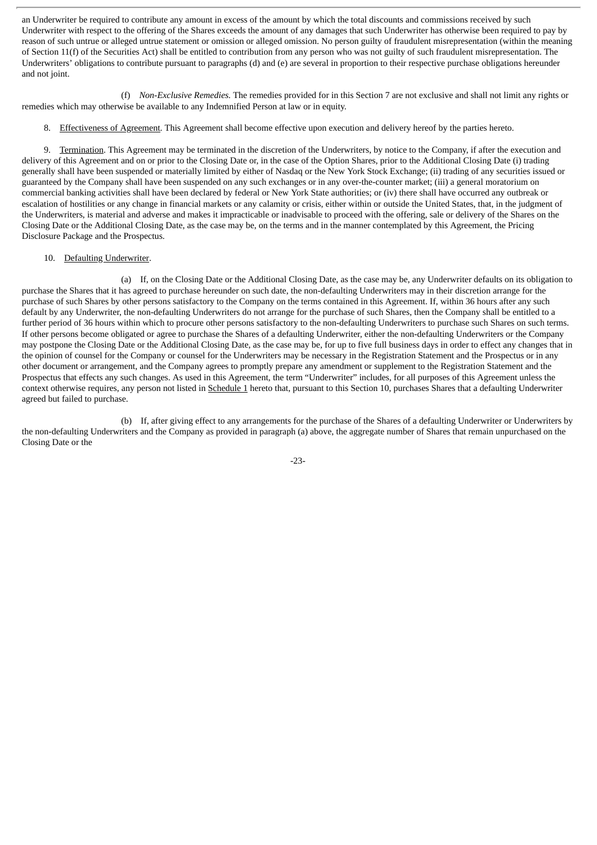an Underwriter be required to contribute any amount in excess of the amount by which the total discounts and commissions received by such Underwriter with respect to the offering of the Shares exceeds the amount of any damages that such Underwriter has otherwise been required to pay by reason of such untrue or alleged untrue statement or omission or alleged omission. No person guilty of fraudulent misrepresentation (within the meaning of Section 11(f) of the Securities Act) shall be entitled to contribution from any person who was not guilty of such fraudulent misrepresentation. The Underwriters' obligations to contribute pursuant to paragraphs (d) and (e) are several in proportion to their respective purchase obligations hereunder and not joint.

(f) *Non-Exclusive Remedies.* The remedies provided for in this Section 7 are not exclusive and shall not limit any rights or remedies which may otherwise be available to any Indemnified Person at law or in equity.

8. Effectiveness of Agreement. This Agreement shall become effective upon execution and delivery hereof by the parties hereto.

9. Termination. This Agreement may be terminated in the discretion of the Underwriters, by notice to the Company, if after the execution and delivery of this Agreement and on or prior to the Closing Date or, in the case of the Option Shares, prior to the Additional Closing Date (i) trading generally shall have been suspended or materially limited by either of Nasdaq or the New York Stock Exchange; (ii) trading of any securities issued or guaranteed by the Company shall have been suspended on any such exchanges or in any over-the-counter market; (iii) a general moratorium on commercial banking activities shall have been declared by federal or New York State authorities; or (iv) there shall have occurred any outbreak or escalation of hostilities or any change in financial markets or any calamity or crisis, either within or outside the United States, that, in the judgment of the Underwriters, is material and adverse and makes it impracticable or inadvisable to proceed with the offering, sale or delivery of the Shares on the Closing Date or the Additional Closing Date, as the case may be, on the terms and in the manner contemplated by this Agreement, the Pricing Disclosure Package and the Prospectus.

#### 10. Defaulting Underwriter.

(a) If, on the Closing Date or the Additional Closing Date, as the case may be, any Underwriter defaults on its obligation to purchase the Shares that it has agreed to purchase hereunder on such date, the non-defaulting Underwriters may in their discretion arrange for the purchase of such Shares by other persons satisfactory to the Company on the terms contained in this Agreement. If, within 36 hours after any such default by any Underwriter, the non-defaulting Underwriters do not arrange for the purchase of such Shares, then the Company shall be entitled to a further period of 36 hours within which to procure other persons satisfactory to the non-defaulting Underwriters to purchase such Shares on such terms. If other persons become obligated or agree to purchase the Shares of a defaulting Underwriter, either the non-defaulting Underwriters or the Company may postpone the Closing Date or the Additional Closing Date, as the case may be, for up to five full business days in order to effect any changes that in the opinion of counsel for the Company or counsel for the Underwriters may be necessary in the Registration Statement and the Prospectus or in any other document or arrangement, and the Company agrees to promptly prepare any amendment or supplement to the Registration Statement and the Prospectus that effects any such changes. As used in this Agreement, the term "Underwriter" includes, for all purposes of this Agreement unless the context otherwise requires, any person not listed in Schedule 1 hereto that, pursuant to this Section 10, purchases Shares that a defaulting Underwriter agreed but failed to purchase.

(b) If, after giving effect to any arrangements for the purchase of the Shares of a defaulting Underwriter or Underwriters by the non-defaulting Underwriters and the Company as provided in paragraph (a) above, the aggregate number of Shares that remain unpurchased on the Closing Date or the

-23-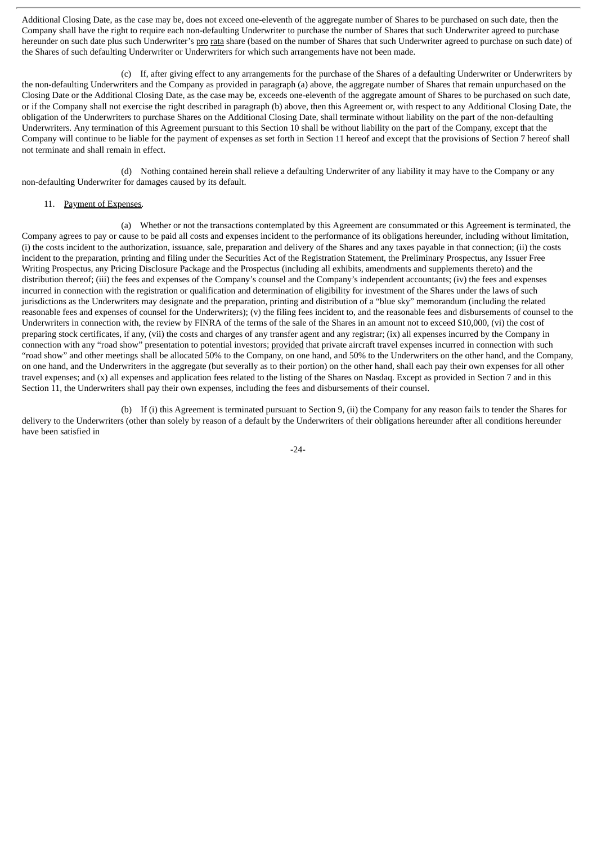Additional Closing Date, as the case may be, does not exceed one-eleventh of the aggregate number of Shares to be purchased on such date, then the Company shall have the right to require each non-defaulting Underwriter to purchase the number of Shares that such Underwriter agreed to purchase hereunder on such date plus such Underwriter's pro rata share (based on the number of Shares that such Underwriter agreed to purchase on such date) of the Shares of such defaulting Underwriter or Underwriters for which such arrangements have not been made.

(c) If, after giving effect to any arrangements for the purchase of the Shares of a defaulting Underwriter or Underwriters by the non-defaulting Underwriters and the Company as provided in paragraph (a) above, the aggregate number of Shares that remain unpurchased on the Closing Date or the Additional Closing Date, as the case may be, exceeds one-eleventh of the aggregate amount of Shares to be purchased on such date, or if the Company shall not exercise the right described in paragraph (b) above, then this Agreement or, with respect to any Additional Closing Date, the obligation of the Underwriters to purchase Shares on the Additional Closing Date, shall terminate without liability on the part of the non-defaulting Underwriters. Any termination of this Agreement pursuant to this Section 10 shall be without liability on the part of the Company, except that the Company will continue to be liable for the payment of expenses as set forth in Section 11 hereof and except that the provisions of Section 7 hereof shall not terminate and shall remain in effect.

(d) Nothing contained herein shall relieve a defaulting Underwriter of any liability it may have to the Company or any non-defaulting Underwriter for damages caused by its default.

#### 11. Payment of Expenses*.*

(a) Whether or not the transactions contemplated by this Agreement are consummated or this Agreement is terminated, the Company agrees to pay or cause to be paid all costs and expenses incident to the performance of its obligations hereunder, including without limitation, (i) the costs incident to the authorization, issuance, sale, preparation and delivery of the Shares and any taxes payable in that connection; (ii) the costs incident to the preparation, printing and filing under the Securities Act of the Registration Statement, the Preliminary Prospectus, any Issuer Free Writing Prospectus, any Pricing Disclosure Package and the Prospectus (including all exhibits, amendments and supplements thereto) and the distribution thereof; (iii) the fees and expenses of the Company's counsel and the Company's independent accountants; (iv) the fees and expenses incurred in connection with the registration or qualification and determination of eligibility for investment of the Shares under the laws of such jurisdictions as the Underwriters may designate and the preparation, printing and distribution of a "blue sky" memorandum (including the related reasonable fees and expenses of counsel for the Underwriters); (v) the filing fees incident to, and the reasonable fees and disbursements of counsel to the Underwriters in connection with, the review by FINRA of the terms of the sale of the Shares in an amount not to exceed \$10,000, (vi) the cost of preparing stock certificates, if any, (vii) the costs and charges of any transfer agent and any registrar; (ix) all expenses incurred by the Company in connection with any "road show" presentation to potential investors; provided that private aircraft travel expenses incurred in connection with such "road show" and other meetings shall be allocated 50% to the Company, on one hand, and 50% to the Underwriters on the other hand, and the Company, on one hand, and the Underwriters in the aggregate (but severally as to their portion) on the other hand, shall each pay their own expenses for all other travel expenses; and (x) all expenses and application fees related to the listing of the Shares on Nasdaq. Except as provided in Section 7 and in this Section 11, the Underwriters shall pay their own expenses, including the fees and disbursements of their counsel.

(b) If (i) this Agreement is terminated pursuant to Section 9, (ii) the Company for any reason fails to tender the Shares for delivery to the Underwriters (other than solely by reason of a default by the Underwriters of their obligations hereunder after all conditions hereunder have been satisfied in

-24-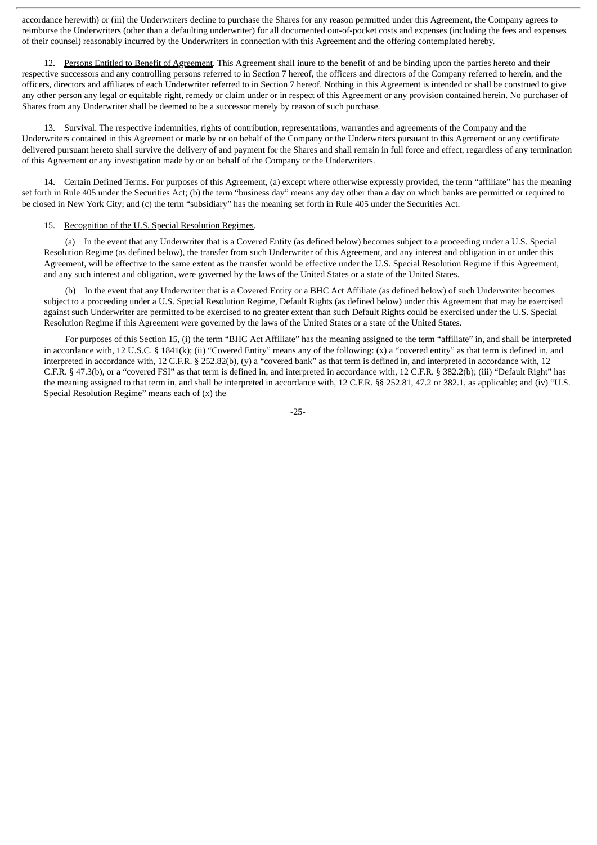accordance herewith) or (iii) the Underwriters decline to purchase the Shares for any reason permitted under this Agreement, the Company agrees to reimburse the Underwriters (other than a defaulting underwriter) for all documented out-of-pocket costs and expenses (including the fees and expenses of their counsel) reasonably incurred by the Underwriters in connection with this Agreement and the offering contemplated hereby.

12. Persons Entitled to Benefit of Agreement. This Agreement shall inure to the benefit of and be binding upon the parties hereto and their respective successors and any controlling persons referred to in Section 7 hereof, the officers and directors of the Company referred to herein, and the officers, directors and affiliates of each Underwriter referred to in Section 7 hereof. Nothing in this Agreement is intended or shall be construed to give any other person any legal or equitable right, remedy or claim under or in respect of this Agreement or any provision contained herein. No purchaser of Shares from any Underwriter shall be deemed to be a successor merely by reason of such purchase.

13. Survival. The respective indemnities, rights of contribution, representations, warranties and agreements of the Company and the Underwriters contained in this Agreement or made by or on behalf of the Company or the Underwriters pursuant to this Agreement or any certificate delivered pursuant hereto shall survive the delivery of and payment for the Shares and shall remain in full force and effect, regardless of any termination of this Agreement or any investigation made by or on behalf of the Company or the Underwriters.

14. Certain Defined Terms. For purposes of this Agreement, (a) except where otherwise expressly provided, the term "affiliate" has the meaning set forth in Rule 405 under the Securities Act; (b) the term "business day" means any day other than a day on which banks are permitted or required to be closed in New York City; and (c) the term "subsidiary" has the meaning set forth in Rule 405 under the Securities Act.

#### 15. Recognition of the U.S. Special Resolution Regimes.

(a) In the event that any Underwriter that is a Covered Entity (as defined below) becomes subject to a proceeding under a U.S. Special Resolution Regime (as defined below), the transfer from such Underwriter of this Agreement, and any interest and obligation in or under this Agreement, will be effective to the same extent as the transfer would be effective under the U.S. Special Resolution Regime if this Agreement, and any such interest and obligation, were governed by the laws of the United States or a state of the United States.

(b) In the event that any Underwriter that is a Covered Entity or a BHC Act Affiliate (as defined below) of such Underwriter becomes subject to a proceeding under a U.S. Special Resolution Regime, Default Rights (as defined below) under this Agreement that may be exercised against such Underwriter are permitted to be exercised to no greater extent than such Default Rights could be exercised under the U.S. Special Resolution Regime if this Agreement were governed by the laws of the United States or a state of the United States.

For purposes of this Section 15, (i) the term "BHC Act Affiliate" has the meaning assigned to the term "affiliate" in, and shall be interpreted in accordance with, 12 U.S.C. § 1841(k); (ii) "Covered Entity" means any of the following: (x) a "covered entity" as that term is defined in, and interpreted in accordance with, 12 C.F.R. § 252.82(b), (y) a "covered bank" as that term is defined in, and interpreted in accordance with, 12 C.F.R. § 47.3(b), or a "covered FSI" as that term is defined in, and interpreted in accordance with, 12 C.F.R. § 382.2(b); (iii) "Default Right" has the meaning assigned to that term in, and shall be interpreted in accordance with, 12 C.F.R. §§ 252.81, 47.2 or 382.1, as applicable; and (iv) "U.S. Special Resolution Regime" means each of (x) the

-25-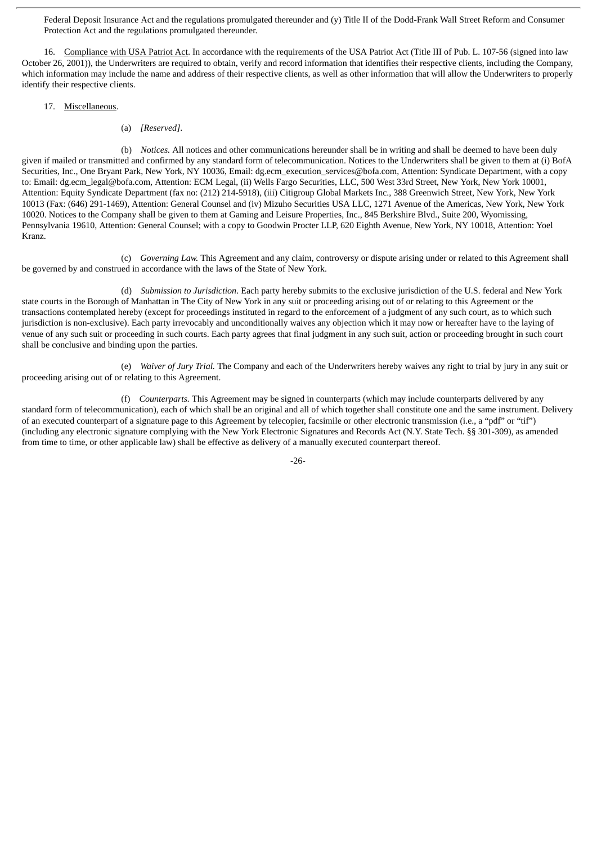Federal Deposit Insurance Act and the regulations promulgated thereunder and (y) Title II of the Dodd-Frank Wall Street Reform and Consumer Protection Act and the regulations promulgated thereunder.

16. Compliance with USA Patriot Act. In accordance with the requirements of the USA Patriot Act (Title III of Pub. L. 107-56 (signed into law October 26, 2001)), the Underwriters are required to obtain, verify and record information that identifies their respective clients, including the Company, which information may include the name and address of their respective clients, as well as other information that will allow the Underwriters to properly identify their respective clients.

#### 17. Miscellaneous.

(a) *[Reserved]*.

(b) *Notices.* All notices and other communications hereunder shall be in writing and shall be deemed to have been duly given if mailed or transmitted and confirmed by any standard form of telecommunication. Notices to the Underwriters shall be given to them at (i) BofA Securities, Inc., One Bryant Park, New York, NY 10036, Email: dg.ecm\_execution\_services@bofa.com, Attention: Syndicate Department, with a copy to: Email: dg.ecm legal@bofa.com, Attention: ECM Legal, (ii) Wells Fargo Securities, LLC, 500 West 33rd Street, New York, New York 10001, Attention: Equity Syndicate Department (fax no: (212) 214-5918), (iii) Citigroup Global Markets Inc., 388 Greenwich Street, New York, New York 10013 (Fax: (646) 291-1469), Attention: General Counsel and (iv) Mizuho Securities USA LLC, 1271 Avenue of the Americas, New York, New York 10020. Notices to the Company shall be given to them at Gaming and Leisure Properties, Inc., 845 Berkshire Blvd., Suite 200, Wyomissing, Pennsylvania 19610, Attention: General Counsel; with a copy to Goodwin Procter LLP, 620 Eighth Avenue, New York, NY 10018, Attention: Yoel Kranz.

(c) *Governing Law.* This Agreement and any claim, controversy or dispute arising under or related to this Agreement shall be governed by and construed in accordance with the laws of the State of New York.

(d) *Submission to Jurisdiction*. Each party hereby submits to the exclusive jurisdiction of the U.S. federal and New York state courts in the Borough of Manhattan in The City of New York in any suit or proceeding arising out of or relating to this Agreement or the transactions contemplated hereby (except for proceedings instituted in regard to the enforcement of a judgment of any such court, as to which such jurisdiction is non-exclusive). Each party irrevocably and unconditionally waives any objection which it may now or hereafter have to the laying of venue of any such suit or proceeding in such courts. Each party agrees that final judgment in any such suit, action or proceeding brought in such court shall be conclusive and binding upon the parties.

(e) *Waiver of Jury Trial.* The Company and each of the Underwriters hereby waives any right to trial by jury in any suit or proceeding arising out of or relating to this Agreement.

(f) *Counterparts.* This Agreement may be signed in counterparts (which may include counterparts delivered by any standard form of telecommunication), each of which shall be an original and all of which together shall constitute one and the same instrument. Delivery of an executed counterpart of a signature page to this Agreement by telecopier, facsimile or other electronic transmission (i.e., a "pdf" or "tif") (including any electronic signature complying with the New York Electronic Signatures and Records Act (N.Y. State Tech. §§ 301-309), as amended from time to time, or other applicable law) shall be effective as delivery of a manually executed counterpart thereof.

-26-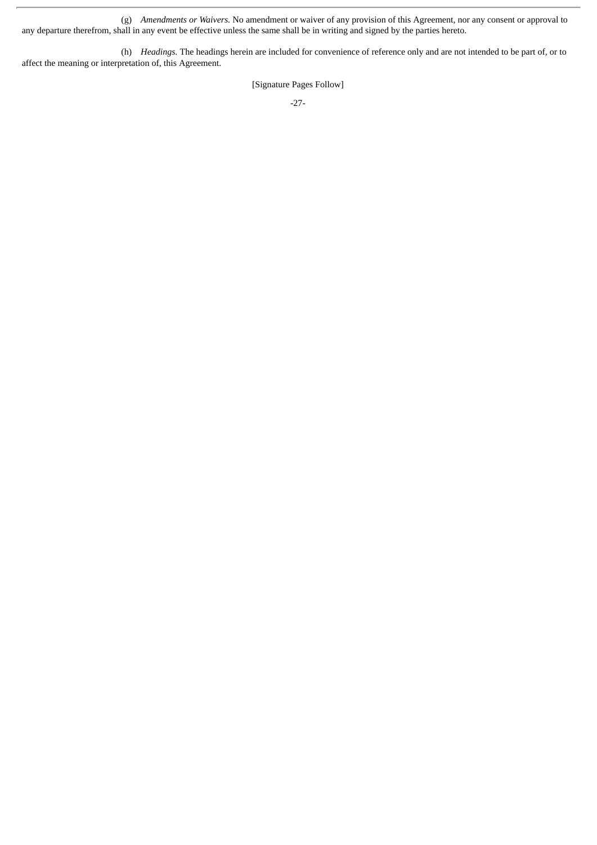(g) *Amendments or Waivers.* No amendment or waiver of any provision of this Agreement, nor any consent or approval to any departure therefrom, shall in any event be effective unless the same shall be in writing and signed by the parties hereto.

(h) *Headings.* The headings herein are included for convenience of reference only and are not intended to be part of, or to affect the meaning or interpretation of, this Agreement.

[Signature Pages Follow]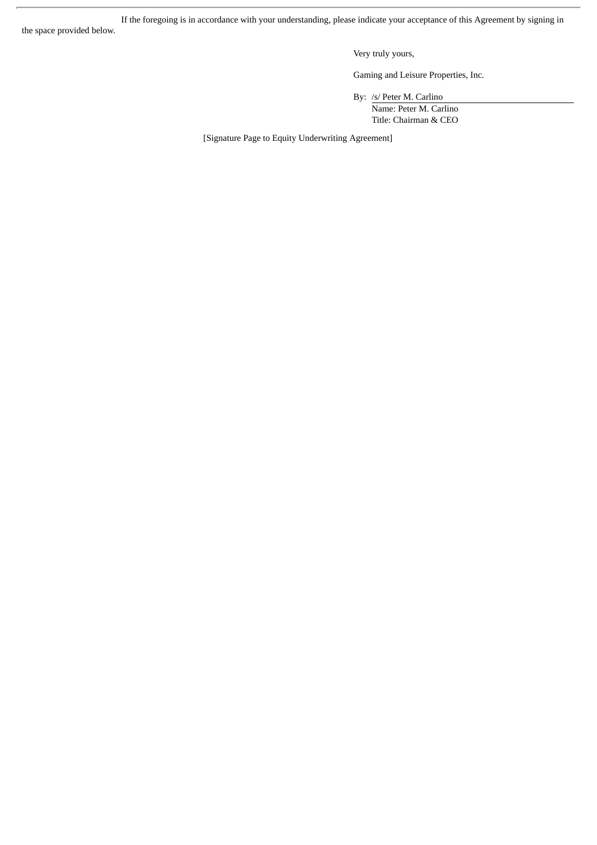If the foregoing is in accordance with your understanding, please indicate your acceptance of this Agreement by signing in

the space provided below.

Very truly yours,

Gaming and Leisure Properties, Inc.

By: /s/ Peter M. Carlino

Name: Peter M. Carlino Title: Chairman & CEO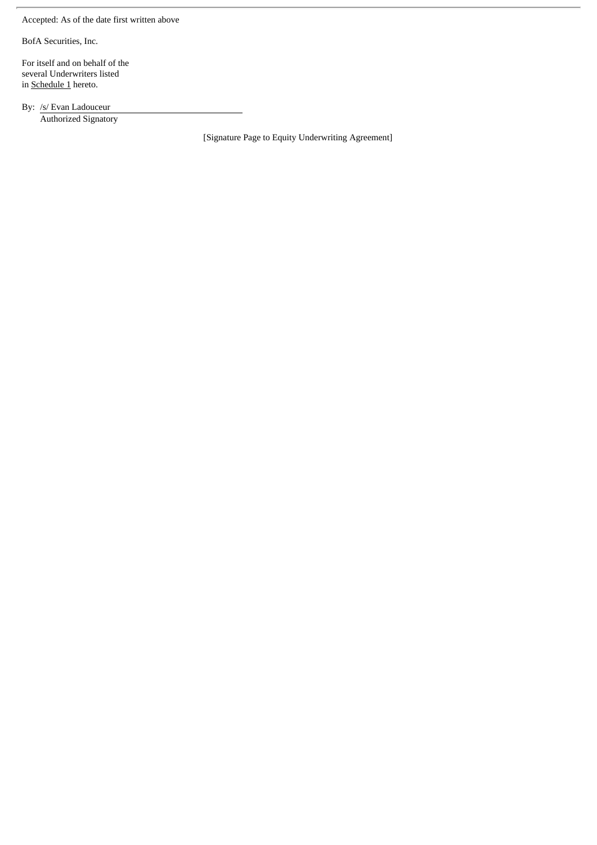Accepted: As of the date first written above

BofA Securities, Inc.

For itself and on behalf of the several Underwriters listed in Schedule 1 hereto.

By: /s/ Evan Ladouceur Authorized Signatory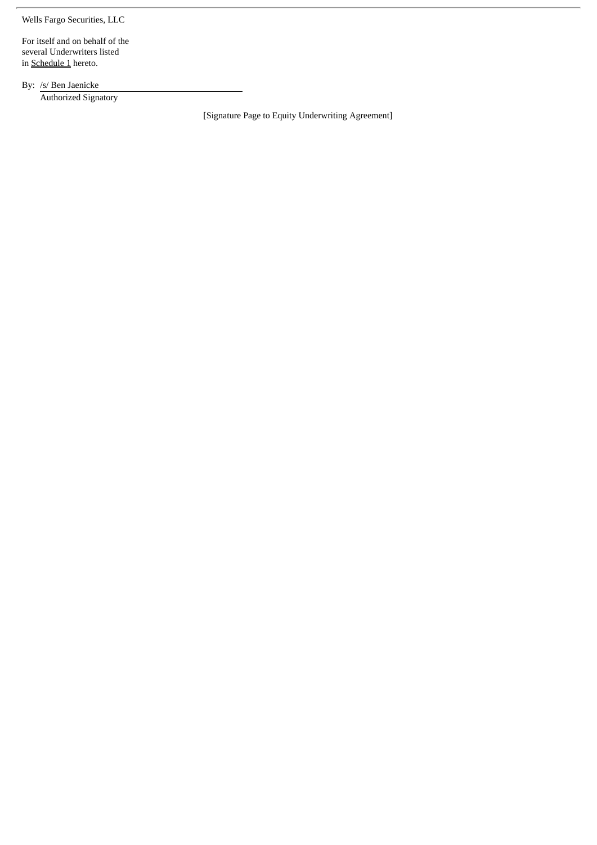Wells Fargo Securities, LLC

For itself and on behalf of the several Underwriters listed in **Schedule 1** hereto.

By: /s/ Ben Jaenicke Authorized Signatory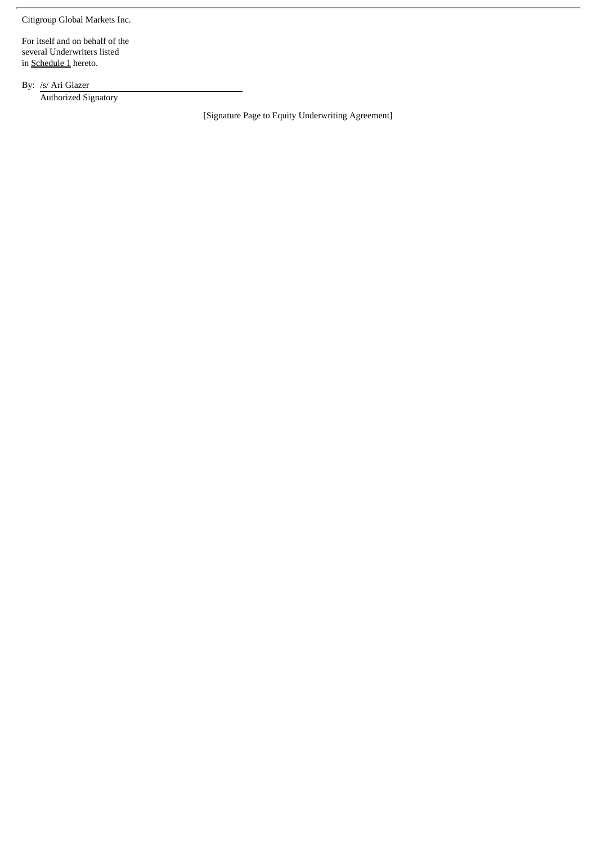Citigroup Global Markets Inc.

For itself and on behalf of the several Underwriters listed in **Schedule 1** hereto.

By: /s/ Ari Glazer Authorized Signatory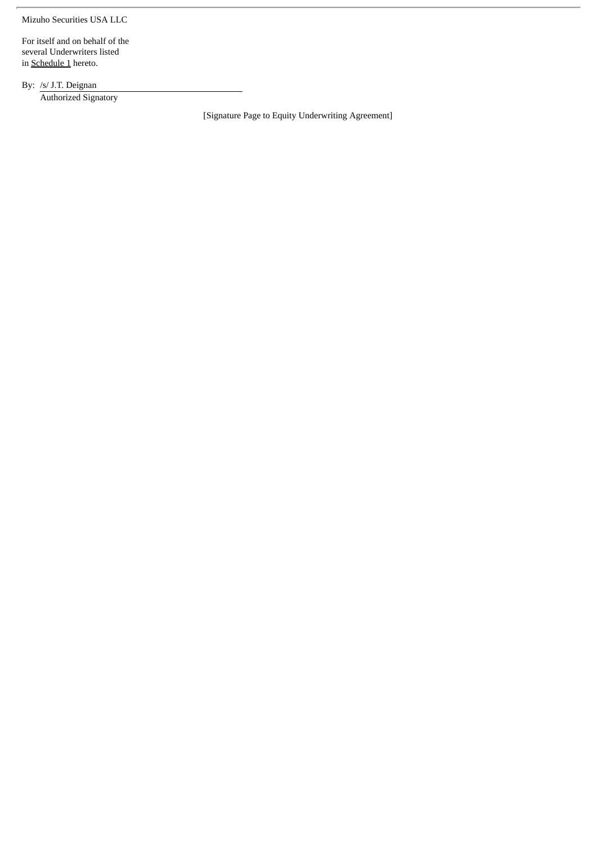Mizuho Securities USA LLC

For itself and on behalf of the several Underwriters listed in **Schedule 1** hereto.

By: /s/ J.T. Deignan Authorized Signatory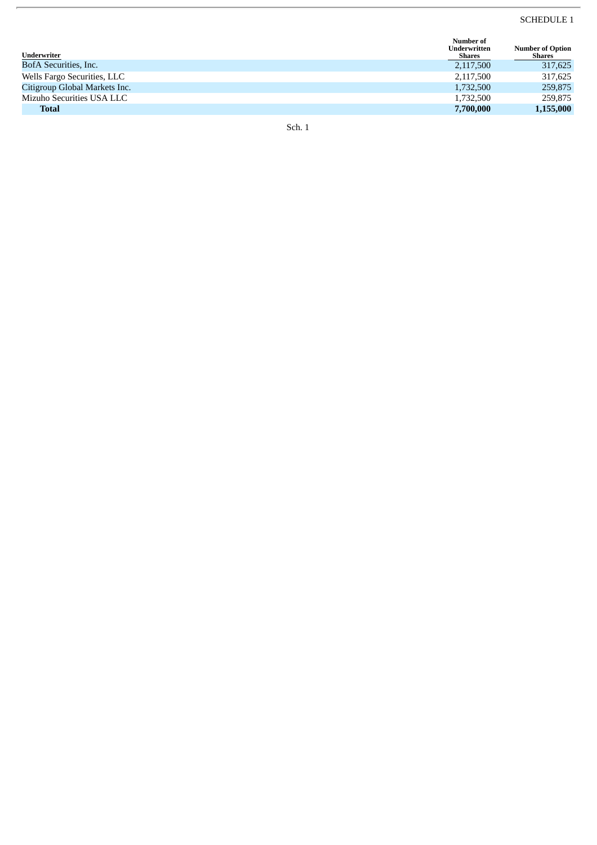#### SCHEDULE 1

| Number of<br><b>Underwritten</b> | <b>Number of Option</b> |
|----------------------------------|-------------------------|
|                                  | Shares                  |
| 2,117,500                        | 317,625                 |
| 2,117,500                        | 317,625                 |
| 1,732,500                        | 259,875                 |
| 1,732,500                        | 259,875                 |
| 7,700,000                        | 1,155,000               |
|                                  | Shares                  |

S c h. 1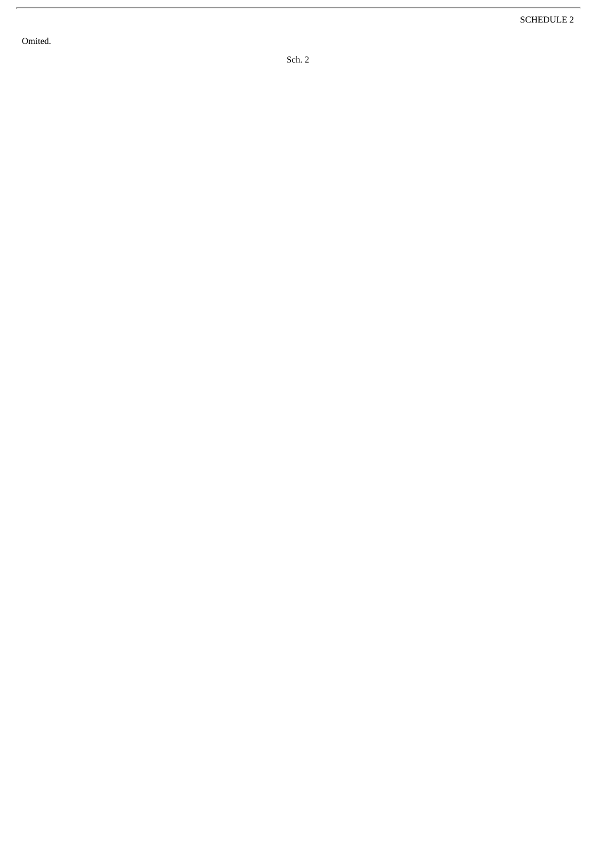Omited.

 $\overline{r}$ 

S c h. 2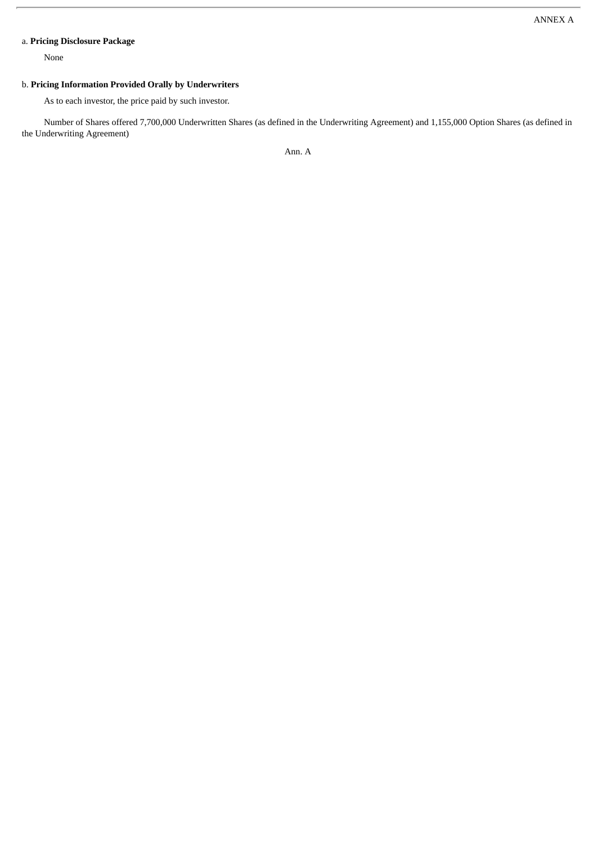### a. **Pricing Disclosure Package**

None

#### b. **Pricing Information Provided Orally by Underwriters**

As to each investor, the price paid by such investor.

Number of Shares offered 7,700,000 Underwritten Shares (as defined in the Underwriting Agreement) and 1,155,000 Option Shares (as defined in the Underwriting Agreement)

Ann. A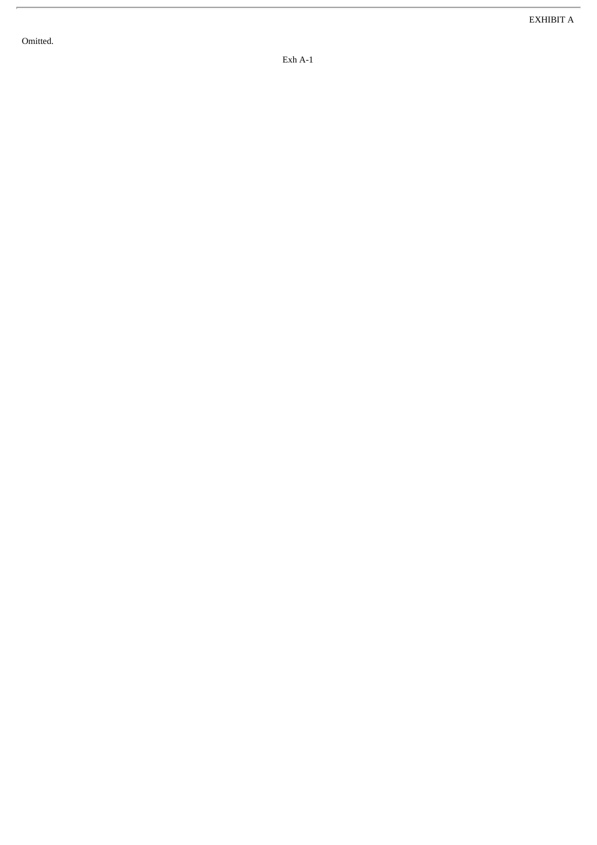Omitted.

Exh A-1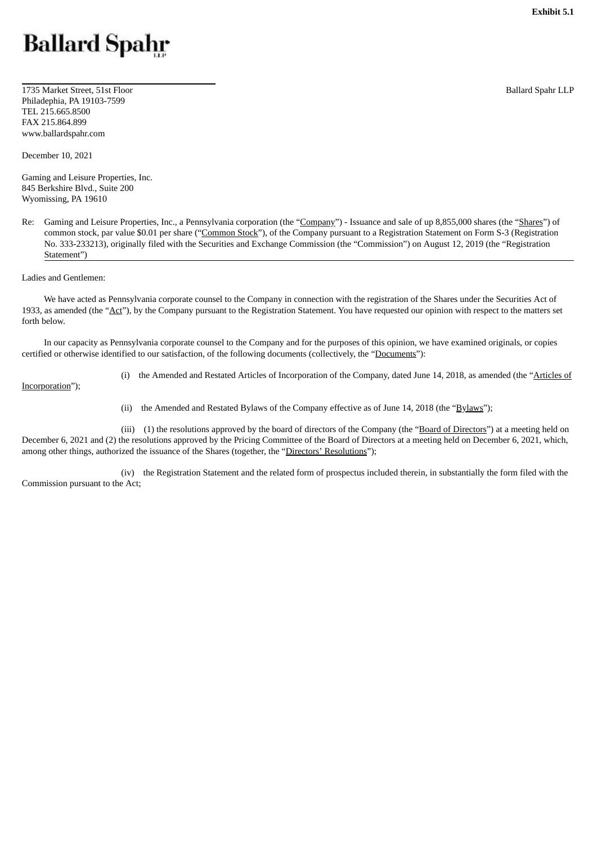# <span id="page-40-0"></span>**Ballard Spahr**

1735 Market Street, 51st Floor Philadephia, PA 19103-7599 TEL 215.665.8500 FAX 215.864.899 www.ballardspahr.com

December 10, 2021

Gaming and Leisure Properties, Inc. 845 Berkshire Blvd., Suite 200 Wyomissing, PA 19610

Re: Gaming and Leisure Properties, Inc., a Pennsylvania corporation (the "Company") - Issuance and sale of up 8,855,000 shares (the "Shares") of common stock, par value \$0.01 per share ("Common Stock"), of the Company pursuant to a Registration Statement on Form S-3 (Registration No. 333-233213), originally filed with the Securities and Exchange Commission (the "Commission") on August 12, 2019 (the "Registration Statement")

Ladies and Gentlemen:

We have acted as Pennsylvania corporate counsel to the Company in connection with the registration of the Shares under the Securities Act of 1933, as amended (the "Act"), by the Company pursuant to the Registration Statement. You have requested our opinion with respect to the matters set forth below.

In our capacity as Pennsylvania corporate counsel to the Company and for the purposes of this opinion, we have examined originals, or copies certified or otherwise identified to our satisfaction, of the following documents (collectively, the "Documents"):

Incorporation");

(i) the Amended and Restated Articles of Incorporation of the Company, dated June 14, 2018, as amended (the "Articles of

(ii) the Amended and Restated Bylaws of the Company effective as of June 14, 2018 (the " $\frac{BylawS}{B}$ ");

(iii) (1) the resolutions approved by the board of directors of the Company (the "Board of Directors") at a meeting held on December 6, 2021 and (2) the resolutions approved by the Pricing Committee of the Board of Directors at a meeting held on December 6, 2021, which, among other things, authorized the issuance of the Shares (together, the "Directors' Resolutions");

(iv) the Registration Statement and the related form of prospectus included therein, in substantially the form filed with the Commission pursuant to the Act;

Ballard Spahr LLP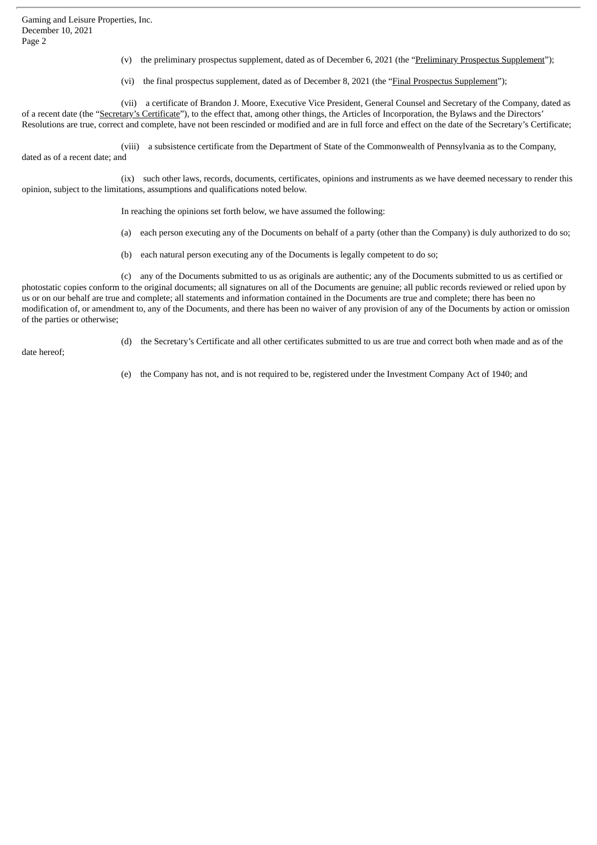Gaming and Leisure Properties, Inc. December 10, 2021 Page 2

- (v) the preliminary prospectus supplement, dated as of December 6, 2021 (the "Preliminary Prospectus Supplement");
- (vi) the final prospectus supplement, dated as of December 8, 2021 (the "Final Prospectus Supplement");

(vii) a certificate of Brandon J. Moore, Executive Vice President, General Counsel and Secretary of the Company, dated as of a recent date (the "Secretary's Certificate"), to the effect that, among other things, the Articles of Incorporation, the Bylaws and the Directors' Resolutions are true, correct and complete, have not been rescinded or modified and are in full force and effect on the date of the Secretary's Certificate;

(viii) a subsistence certificate from the Department of State of the Commonwealth of Pennsylvania as to the Company, dated as of a recent date; and

(ix) such other laws, records, documents, certificates, opinions and instruments as we have deemed necessary to render this opinion, subject to the limitations, assumptions and qualifications noted below.

In reaching the opinions set forth below, we have assumed the following:

- (a) each person executing any of the Documents on behalf of a party (other than the Company) is duly authorized to do so;
- (b) each natural person executing any of the Documents is legally competent to do so;

(c) any of the Documents submitted to us as originals are authentic; any of the Documents submitted to us as certified or photostatic copies conform to the original documents; all signatures on all of the Documents are genuine; all public records reviewed or relied upon by us or on our behalf are true and complete; all statements and information contained in the Documents are true and complete; there has been no modification of, or amendment to, any of the Documents, and there has been no waiver of any provision of any of the Documents by action or omission of the parties or otherwise;

(d) the Secretary's Certificate and all other certificates submitted to us are true and correct both when made and as of the

date hereof;

(e) the Company has not, and is not required to be, registered under the Investment Company Act of 1940; and